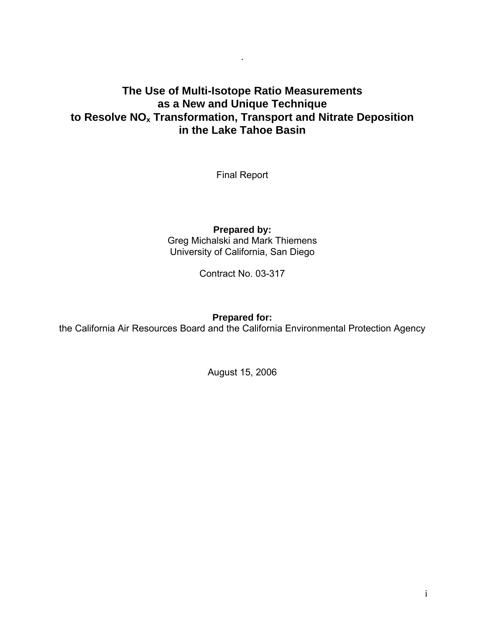# **The Use of Multi-Isotope Ratio Measurements as a New and Unique Technique to Resolve NOx Transformation, Transport and Nitrate Deposition in the Lake Tahoe Basin**

.

Final Report

**Prepared by:**  Greg Michalski and Mark Thiemens University of California, San Diego

Contract No. 03-317

**Prepared for:** 

the California Air Resources Board and the California Environmental Protection Agency

August 15, 2006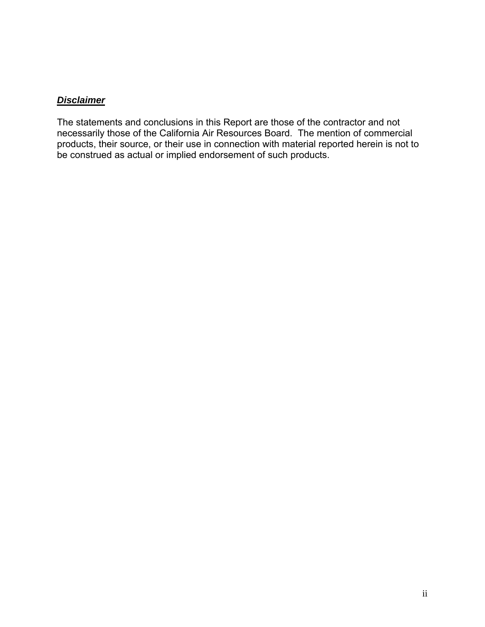#### *Disclaimer*

The statements and conclusions in this Report are those of the contractor and not necessarily those of the California Air Resources Board. The mention of commercial products, their source, or their use in connection with material reported herein is not to be construed as actual or implied endorsement of such products.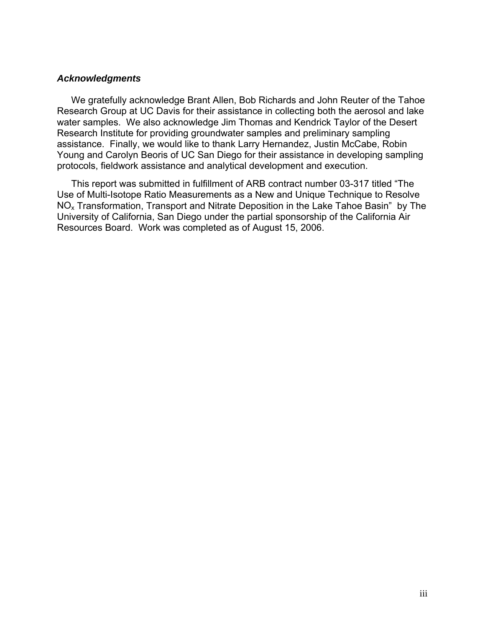#### *Acknowledgments*

We gratefully acknowledge Brant Allen, Bob Richards and John Reuter of the Tahoe Research Group at UC Davis for their assistance in collecting both the aerosol and lake water samples. We also acknowledge Jim Thomas and Kendrick Taylor of the Desert Research Institute for providing groundwater samples and preliminary sampling assistance. Finally, we would like to thank Larry Hernandez, Justin McCabe, Robin Young and Carolyn Beoris of UC San Diego for their assistance in developing sampling protocols, fieldwork assistance and analytical development and execution.

This report was submitted in fulfillment of ARB contract number 03-317 titled "The Use of Multi-Isotope Ratio Measurements as a New and Unique Technique to Resolve NOx Transformation, Transport and Nitrate Deposition in the Lake Tahoe Basin" by The University of California, San Diego under the partial sponsorship of the California Air Resources Board. Work was completed as of August 15, 2006.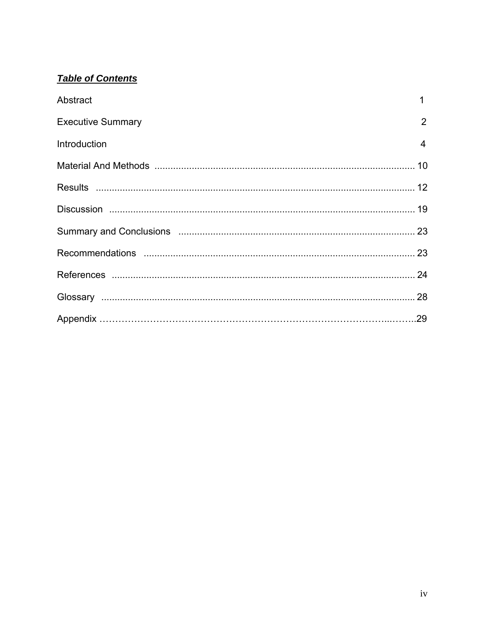# **Table of Contents**

| Abstract                 | 1              |
|--------------------------|----------------|
| <b>Executive Summary</b> | $\overline{2}$ |
| Introduction             | $\overline{4}$ |
|                          |                |
|                          |                |
|                          |                |
|                          |                |
|                          |                |
|                          |                |
|                          |                |
|                          |                |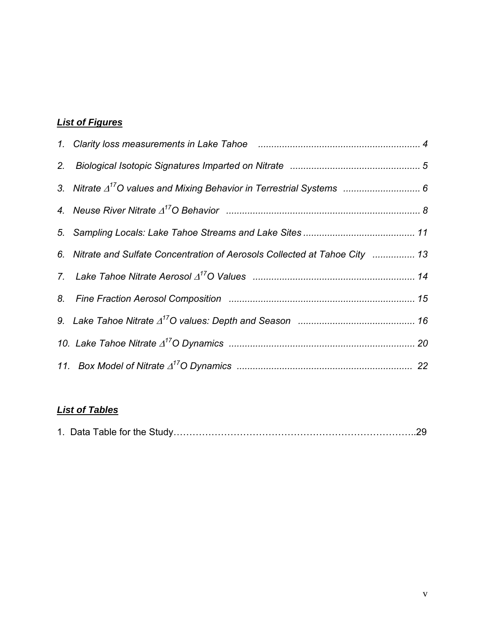# *List of Figures*

| 6. Nitrate and Sulfate Concentration of Aerosols Collected at Tahoe City  13 |  |
|------------------------------------------------------------------------------|--|
|                                                                              |  |
|                                                                              |  |
|                                                                              |  |
|                                                                              |  |
|                                                                              |  |

# *List of Tables*

|--|--|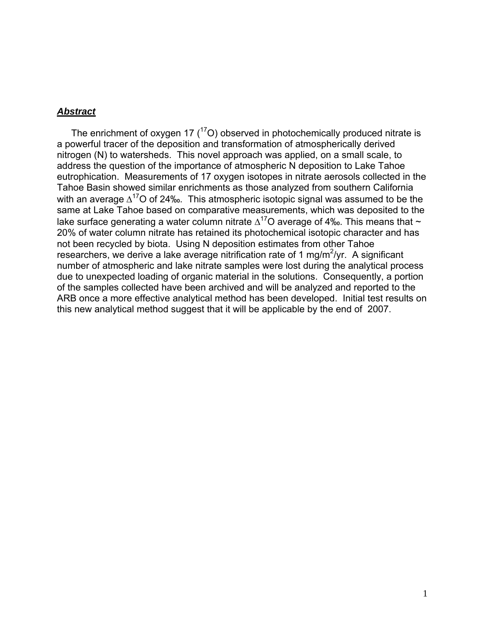#### *Abstract*

The enrichment of oxygen 17  $(^{17}O)$  observed in photochemically produced nitrate is a powerful tracer of the deposition and transformation of atmospherically derived nitrogen (N) to watersheds. This novel approach was applied, on a small scale, to address the question of the importance of atmospheric N deposition to Lake Tahoe eutrophication. Measurements of 17 oxygen isotopes in nitrate aerosols collected in the Tahoe Basin showed similar enrichments as those analyzed from southern California with an average  $\Delta^{17}$ O of 24‰. This atmospheric isotopic signal was assumed to be the same at Lake Tahoe based on comparative measurements, which was deposited to the lake surface generating a water column nitrate  $\Delta^{17}$ O average of 4‰. This means that ~ 20% of water column nitrate has retained its photochemical isotopic character and has not been recycled by biota. Using N deposition estimates from other Tahoe researchers, we derive a lake average nitrification rate of 1 mg/m<sup>2</sup>/yr. A significant number of atmospheric and lake nitrate samples were lost during the analytical process due to unexpected loading of organic material in the solutions. Consequently, a portion of the samples collected have been archived and will be analyzed and reported to the ARB once a more effective analytical method has been developed. Initial test results on this new analytical method suggest that it will be applicable by the end of 2007.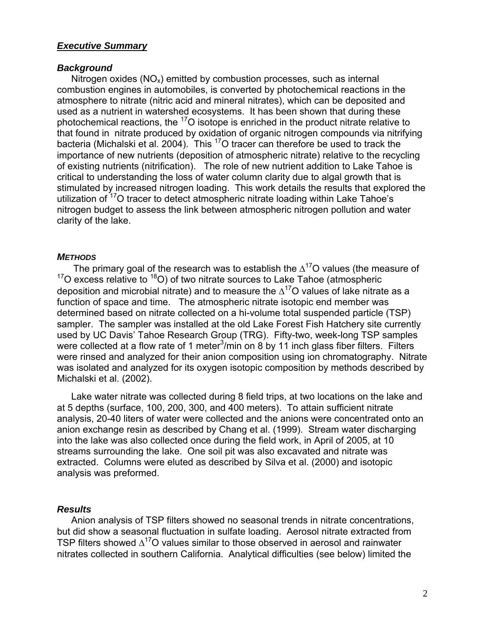#### *Executive Summary*

#### *Background*

Nitrogen oxides  $(NO_x)$  emitted by combustion processes, such as internal combustion engines in automobiles, is converted by photochemical reactions in the atmosphere to nitrate (nitric acid and mineral nitrates), which can be deposited and used as a nutrient in watershed ecosystems. It has been shown that during these photochemical reactions, the <sup>17</sup>O isotope is enriched in the product nitrate relative to that found in nitrate produced by oxidation of organic nitrogen compounds via nitrifying bacteria (Michalski et al. 2004). This <sup>17</sup>O tracer can therefore be used to track the importance of new nutrients (deposition of atmospheric nitrate) relative to the recycling of existing nutrients (nitrification). The role of new nutrient addition to Lake Tahoe is critical to understanding the loss of water column clarity due to algal growth that is stimulated by increased nitrogen loading. This work details the results that explored the utilization of  $17$ <sup>o</sup> tracer to detect atmospheric nitrate loading within Lake Tahoe's nitrogen budget to assess the link between atmospheric nitrogen pollution and water clarity of the lake.

#### *METHODS*

The primary goal of the research was to establish the  $\Delta^{17}$ O values (the measure of  $17$ O excess relative to  $18$ O) of two nitrate sources to Lake Tahoe (atmospheric deposition and microbial nitrate) and to measure the  $\Delta^{17}$ O values of lake nitrate as a function of space and time. The atmospheric nitrate isotopic end member was determined based on nitrate collected on a hi-volume total suspended particle (TSP) sampler. The sampler was installed at the old Lake Forest Fish Hatchery site currently used by UC Davis' Tahoe Research Group (TRG). Fifty-two, week-long TSP samples were collected at a flow rate of 1 meter $3$ /min on 8 by 11 inch glass fiber filters. Filters were rinsed and analyzed for their anion composition using ion chromatography. Nitrate was isolated and analyzed for its oxygen isotopic composition by methods described by Michalski et al. (2002).

Lake water nitrate was collected during 8 field trips, at two locations on the lake and at 5 depths (surface, 100, 200, 300, and 400 meters). To attain sufficient nitrate analysis, 20-40 liters of water were collected and the anions were concentrated onto an anion exchange resin as described by Chang et al. (1999). Stream water discharging into the lake was also collected once during the field work, in April of 2005, at 10 streams surrounding the lake. One soil pit was also excavated and nitrate was extracted. Columns were eluted as described by Silva et al. (2000) and isotopic analysis was preformed.

#### *Results*

Anion analysis of TSP filters showed no seasonal trends in nitrate concentrations, but did show a seasonal fluctuation in sulfate loading. Aerosol nitrate extracted from TSP filters showed  $\Delta^{17}$ O values similar to those observed in aerosol and rainwater nitrates collected in southern California. Analytical difficulties (see below) limited the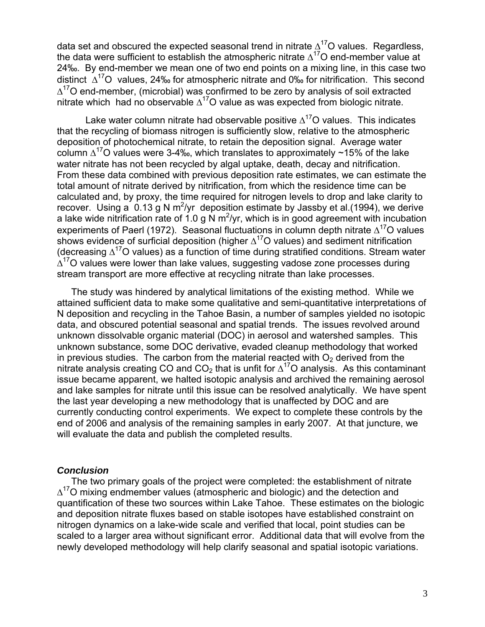data set and obscured the expected seasonal trend in nitrate  $\Delta^{17}$ O values. Regardless, the data were sufficient to establish the atmospheric nitrate  $\Delta^{17}$ O end-member value at 24‰. By end-member we mean one of two end points on a mixing line, in this case two distinct  $\Delta^{17}O$  values, 24‰ for atmospheric nitrate and 0‰ for nitrification. This second  $\Delta^{17}$ O end-member, (microbial) was confirmed to be zero by analysis of soil extracted nitrate which had no observable  $\Delta^{17}$ O value as was expected from biologic nitrate.

Lake water column nitrate had observable positive  $\Delta^{17}$ O values. This indicates that the recycling of biomass nitrogen is sufficiently slow, relative to the atmospheric deposition of photochemical nitrate, to retain the deposition signal. Average water column  $\Delta^{17}$ O values were 3-4‰, which translates to approximately ~15% of the lake water nitrate has not been recycled by algal uptake, death, decay and nitrification. From these data combined with previous deposition rate estimates, we can estimate the total amount of nitrate derived by nitrification, from which the residence time can be calculated and, by proxy, the time required for nitrogen levels to drop and lake clarity to recover. Using a  $0.13$  g N m<sup>2</sup>/yr deposition estimate by Jassby et al. (1994), we derive a lake wide nitrification rate of 1.0 g N  $m^2$ /yr, which is in good agreement with incubation experiments of Paerl (1972). Seasonal fluctuations in column depth nitrate  $\Delta^{17}O$  values shows evidence of surficial deposition (higher  $\Delta^{17}$ O values) and sediment nitrification (decreasing  $\Delta^{17}$ O values) as a function of time during stratified conditions. Stream water  $\Delta^{17}$ O values were lower than lake values, suggesting vadose zone processes during stream transport are more effective at recycling nitrate than lake processes.

The study was hindered by analytical limitations of the existing method. While we attained sufficient data to make some qualitative and semi-quantitative interpretations of N deposition and recycling in the Tahoe Basin, a number of samples yielded no isotopic data, and obscured potential seasonal and spatial trends. The issues revolved around unknown dissolvable organic material (DOC) in aerosol and watershed samples. This unknown substance, some DOC derivative, evaded cleanup methodology that worked in previous studies. The carbon from the material reacted with  $O<sub>2</sub>$  derived from the nitrate analysis creating CO and  $CO_2$  that is unfit for  $\Delta^{17}O$  analysis. As this contaminant issue became apparent, we halted isotopic analysis and archived the remaining aerosol and lake samples for nitrate until this issue can be resolved analytically. We have spent the last year developing a new methodology that is unaffected by DOC and are currently conducting control experiments. We expect to complete these controls by the end of 2006 and analysis of the remaining samples in early 2007. At that juncture, we will evaluate the data and publish the completed results.

#### *Conclusion*

The two primary goals of the project were completed: the establishment of nitrate  $\Delta^{17}$ O mixing endmember values (atmospheric and biologic) and the detection and quantification of these two sources within Lake Tahoe. These estimates on the biologic and deposition nitrate fluxes based on stable isotopes have established constraint on nitrogen dynamics on a lake-wide scale and verified that local, point studies can be scaled to a larger area without significant error. Additional data that will evolve from the newly developed methodology will help clarify seasonal and spatial isotopic variations.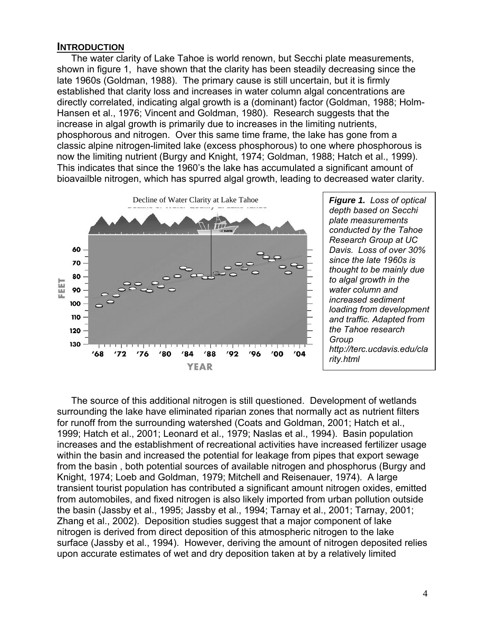#### **INTRODUCTION**

The water clarity of Lake Tahoe is world renown, but Secchi plate measurements, shown in figure 1, have shown that the clarity has been steadily decreasing since the late 1960s (Goldman, 1988). The primary cause is still uncertain, but it is firmly established that clarity loss and increases in water column algal concentrations are directly correlated, indicating algal growth is a (dominant) factor (Goldman, 1988; Holm-Hansen et al., 1976; Vincent and Goldman, 1980). Research suggests that the increase in algal growth is primarily due to increases in the limiting nutrients, phosphorous and nitrogen. Over this same time frame, the lake has gone from a classic alpine nitrogen-limited lake (excess phosphorous) to one where phosphorous is now the limiting nutrient (Burgy and Knight, 1974; Goldman, 1988; Hatch et al., 1999). This indicates that since the 1960's the lake has accumulated a significant amount of bioavailble nitrogen, which has spurred algal growth, leading to decreased water clarity.



*depth based on Secchi plate measurements conducted by the Tahoe Research Group at UC Davis. Loss of over 30% since the late 1960s is thought to be mainly due to algal growth in the water column and increased sediment loading from development and traffic. Adapted from the Tahoe research Group <http://terc.ucdavis.edu/cla> rity.html* 

The source of this additional nitrogen is still questioned. Development of wetlands surrounding the lake have eliminated riparian zones that normally act as nutrient filters for runoff from the surrounding watershed (Coats and Goldman, 2001; Hatch et al., 1999; Hatch et al., 2001; Leonard et al., 1979; Naslas et al., 1994). Basin population increases and the establishment of recreational activities have increased fertilizer usage within the basin and increased the potential for leakage from pipes that export sewage from the basin , both potential sources of available nitrogen and phosphorus (Burgy and Knight, 1974; Loeb and Goldman, 1979; Mitchell and Reisenauer, 1974). A large transient tourist population has contributed a significant amount nitrogen oxides, emitted from automobiles, and fixed nitrogen is also likely imported from urban pollution outside the basin (Jassby et al., 1995; Jassby et al., 1994; Tarnay et al., 2001; Tarnay, 2001; Zhang et al., 2002). Deposition studies suggest that a major component of lake nitrogen is derived from direct deposition of this atmospheric nitrogen to the lake surface (Jassby et al., 1994). However, deriving the amount of nitrogen deposited relies upon accurate estimates of wet and dry deposition taken at by a relatively limited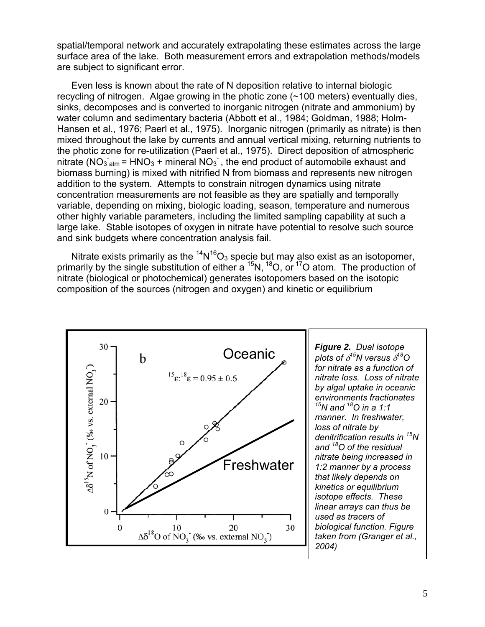spatial/temporal network and accurately extrapolating these estimates across the large surface area of the lake. Both measurement errors and extrapolation methods/models are subject to significant error.

Even less is known about the rate of N deposition relative to internal biologic recycling of nitrogen. Algae growing in the photic zone (~100 meters) eventually dies, sinks, decomposes and is converted to inorganic nitrogen (nitrate and ammonium) by water column and sedimentary bacteria (Abbott et al., 1984; Goldman, 1988; Holm-Hansen et al., 1976; Paerl et al., 1975). Inorganic nitrogen (primarily as nitrate) is then mixed throughout the lake by currents and annual vertical mixing, returning nutrients to the photic zone for re-utilization (Paerl et al., 1975). Direct deposition of atmospheric nitrate (NO<sub>3</sub>  $_{atm}$  = HNO<sub>3</sub> + mineral NO<sub>3</sub><sup>-</sup>, the end product of automobile exhaust and biomass burning) is mixed with nitrified N from biomass and represents new nitrogen addition to the system. Attempts to constrain nitrogen dynamics using nitrate concentration measurements are not feasible as they are spatially and temporally variable, depending on mixing, biologic loading, season, temperature and numerous other highly variable parameters, including the limited sampling capability at such a large lake. Stable isotopes of oxygen in nitrate have potential to resolve such source and sink budgets where concentration analysis fail.

Nitrate exists primarily as the  ${}^{14}N^{16}O_3$  specie but may also exist as an isotopomer, primarily by the single substitution of either a <sup>15</sup>N, <sup>18</sup>O, or <sup>17</sup>O atom. The production of nitrate (biological or photochemical) generates isotopomers based on the isotopic composition of the sources (nitrogen and oxygen) and kinetic or equilibrium

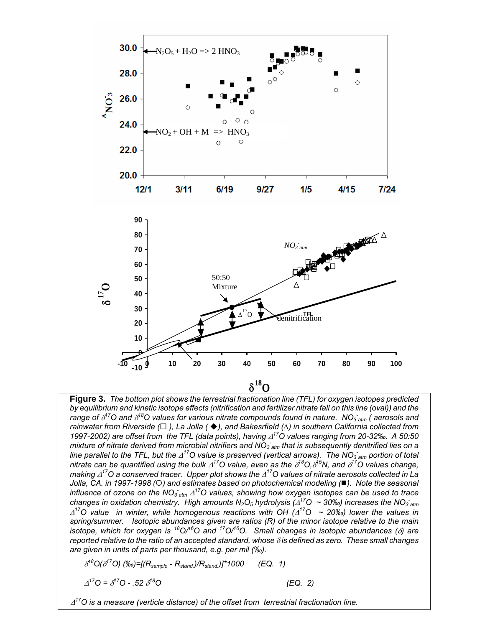

 **Figure 3.** *The bottom plot shows the terrestrial fractionation line (TFL) for oxygen isotopes predicted*  changes in oxidation chemistry. High amounts N<sub>2</sub>O<sub>5</sub> hydrolysis ( $\Delta^{17}O \sim 30\%$ ) increases the NO<sub>3 atm</sub>  *reported relative to the ratio of an accepted standard, whose* δ *is defined as zero. These small changes*  by equilibrium and kinetic isotope effects (nitrification and fertilizer nitrate fall on this line (oval)) and the<br>range of 8<sup>17</sup>O and 8<sup>18</sup>O values for various nitrate compounds found in nature. NO<sub>3 atm</sub> ( aerosols and *rainwater from Riverside ( ), La Jolla ( ), and Bakesrfield (*∆*) in southern California collected from 1997-2002) are offset from the TFL (data points), having* Δ*17O values ranging from 20-32‰. A 50:50 mixture of nitrate derived from microbial nitrifiers and NO3*  line parallel to the TFL, but the Δ<sup>17</sup>O value is preserved (vertical arrows). The NO<sub>3 atm</sub> portion of total *nitrate can be quantified using the bulk* Δ*17O value, even as the* <sup>δ</sup> *18O,*<sup>δ</sup> *15N, and* <sup>δ</sup> *17O values change, making ∆<sup>17</sup>O a conserved tracer. Upper plot shows the ∆<sup>17</sup>O values of nitrate aerosols collected in La<br>Jolla, CA. in 1997-1998 (○) and estimates based on photochemical modeling (■). Note the seasonal* influence of ozone on the NO<sub>3 atm</sub>  $\Delta^{17}$ O values, showing how oxygen isotopes can be used to trace <sup>Δ</sup>*17O value in winter, while homogenous reactions with OH (*Δ*17O ~ 20‰) lower the values in spring/summer. Isotopic abundances given are ratios (R) of the minor isotope relative to the main isotope, which for oxygen is 18O/16O and 17O/16O. Small changes in isotopic abundances (*δ*) are are given in units of parts per thousand, e.g. per mil (‰).* 

$$
\delta^{18}O(\delta^{17}O) \, (\text{\%}o) = [(R_{sample} - R_{stand.})/R_{stand.})]^*1000 \qquad (EQ. 1)
$$

<sup>Δ</sup>*17O =* <sup>δ</sup> *17O - .52* <sup>δ</sup>

*18O (EQ. 2)* 

 $Δ<sup>17</sup>O$  is a measure (verticle distance) of the offset from terrestrial fractionation line.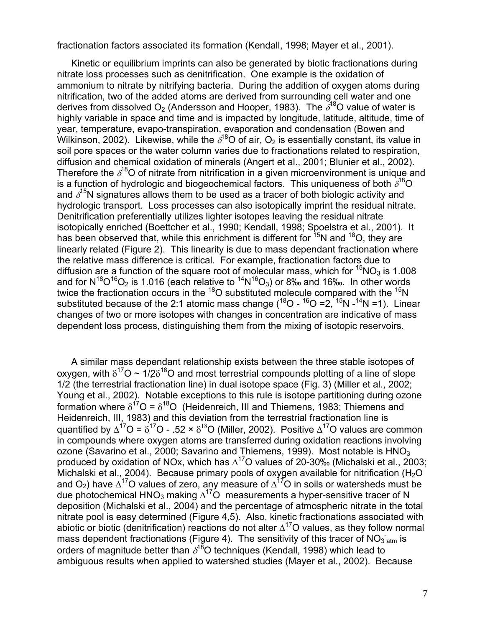fractionation factors associated its formation (Kendall, 1998; Mayer et al., 2001).

Kinetic or equilibrium imprints can also be generated by biotic fractionations during nitrate loss processes such as denitrification. One example is the oxidation of ammonium to nitrate by nitrifying bacteria. During the addition of oxygen atoms during nitrification, two of the added atoms are derived from surrounding cell water and one derives from dissolved  $O_2$  (Andersson and Hooper, 1983). The  $\bar{\delta}^{18}$ O value of water is highly variable in space and time and is impacted by longitude, latitude, altitude, time of year, temperature, evapo-transpiration, evaporation and condensation (Bowen and Wilkinson, 2002). Likewise, while the  $\delta^{18}$ O of air, O<sub>2</sub> is essentially constant, its value in soil pore spaces or the water column varies due to fractionations related to respiration, diffusion and chemical oxidation of minerals (Angert et al., 2001; Blunier et al., 2002). Therefore the  $\delta^{18}$ O of nitrate from nitrification in a given microenvironment is unique and is a function of hydrologic and biogeochemical factors. This uniqueness of both  $\delta^{18}O$ and  $\delta^{15}$ N signatures allows them to be used as a tracer of both biologic activity and hydrologic transport. Loss processes can also isotopically imprint the residual nitrate. Denitrification preferentially utilizes lighter isotopes leaving the residual nitrate isotopically enriched (Boettcher et al., 1990; Kendall, 1998; Spoelstra et al., 2001). It has been observed that, while this enrichment is different for  $15N$  and  $18O$ , they are linearly related (Figure 2). This linearity is due to mass dependant fractionation where the relative mass difference is critical. For example, fractionation factors due to diffusion are a function of the square root of molecular mass, which for  ${}^{15}NO_3$  is 1.008 and for  $N^{18}O^{16}O_2$  is 1.016 (each relative to  $^{14}N^{16}O_3$ ) or 8‰ and 16‰. In other words twice the fractionation occurs in the  $^{18}$ O substituted molecule compared with the  $^{15}N$ substituted because of the 2:1 atomic mass change  $(^{18}O - ^{16}O = 2, ^{15}N - ^{14}N = 1)$ . Linear changes of two or more isotopes with changes in concentration are indicative of mass dependent loss process, distinguishing them from the mixing of isotopic reservoirs.

A similar mass dependant relationship exists between the three stable isotopes of oxygen, with  $\delta^{17}O \sim 1/2\delta^{18}O$  and most terrestrial compounds plotting of a line of slope 1/2 (the terrestrial fractionation line) in dual isotope space (Fig. 3) (Miller et al., 2002; Young et al., 2002). Notable exceptions to this rule is isotope partitioning during ozone formation where  $\delta^{17}O = \delta^{18}O$  (Heidenreich, III and Thiemens, 1983; Thiemens and Heidenreich, III, 1983) and this deviation from the terrestrial fractionation line is quantified by  $\Delta^{17}O = \delta^{17}O - 0.52 \times \delta^{18}O$  (Miller, 2002). Positive  $\Delta^{17}O$  values are common in compounds where oxygen atoms are transferred during oxidation reactions involving ozone (Savarino et al., 2000; Savarino and Thiemens, 1999). Most notable is  $HNO<sub>3</sub>$ produced by oxidation of NOx, which has  $\Delta^{17}$ O values of 20-30‰ (Michalski et al., 2003; Michalski et al., 2004). Because primary pools of oxygen available for nitrification ( $H_2O$ and O<sub>2</sub>) have  $\Delta^{17}$ O values of zero, any measure of  $\Delta^{17}$ O in soils or watersheds must be due photochemical HNO<sub>3</sub> making  $\Delta^{17}$ O measurements a hyper-sensitive tracer of N deposition (Michalski et al., 2004) and the percentage of atmospheric nitrate in the total nitrate pool is easy determined (Figure 4,5). Also, kinetic fractionations associated with abiotic or biotic (denitrification) reactions do not alter  $\Delta^{17}$ O values, as they follow normal mass dependent fractionations (Figure 4). The sensitivity of this tracer of NO $_3$ <sub>atm</sub> is orders of magnitude better than  $\delta^{18}$ O techniques (Kendall, 1998) which lead to ambiguous results when applied to watershed studies (Mayer et al., 2002). Because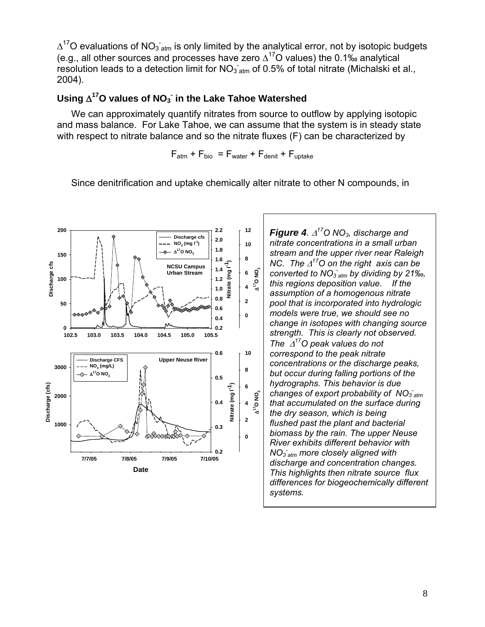$\Delta^{17}$ O evaluations of NO<sub>3</sub><sup>-</sup><sub>atm</sub> is only limited by the analytical error, not by isotopic budgets (e.g., all other sources and processes have zero  $\Delta^{17}$ O values) the 0.1‰ analytical resolution leads to a detection limit for  $NO_{3\text{-atm}}$  of 0.5% of total nitrate (Michalski et al., 2004).

# **- Using** Δ**17O values of NO3 in the Lake Tahoe Watershed**

We can approximately quantify nitrates from source to outflow by applying isotopic and mass balance. For Lake Tahoe, we can assume that the system is in steady state with respect to nitrate balance and so the nitrate fluxes (F) can be characterized by

 $F_{atm}$  +  $F_{bio}$  =  $F_{water}$  +  $F_{denit}$  +  $F_{uptake}$ 

Since denitrification and uptake chemically alter nitrate to other N compounds, in



changes of export probability of NO<sub>3 atm</sub>  $F^2$   $\left|$  **Figure 4***.*  $\Delta^{17}$ O NO<sub>3</sub>*, discharge and* **<sup>10</sup>***nitrate concentrations in a small urban*  **1.8** *stream and the upper river near Raleigh*  <sup>1.6</sup>  $\left[ \begin{array}{c} 8 \\ \end{array} \right]$  NC. The Δ<sup>17</sup>O on the right axis can be *converted to NO3 - atm by dividing by 21‰, this regions deposition value. If the assumption of a homogenous nitrate pool that is incorporated into hydrologic*  **0.6**<br> **0.4 change in isotopes with changing source <br>
<b>0.2 change in isotopes with changing source** *strength. This is clearly not observed. The* Δ*17O peak values do not*  **0.6 10** *correspond to the peak nitrate*  **8 but occur during falling portions of the 0.5 0.5 0.5 0.5 0.6 0.6 0.6 0.6 0.6 0.6 0.6 0.6 0.6 0.6 0.6 0.6 0.6 0.6 0.6 0.6 0.6 0.6 0.6 0.6 0.6 0.6 0.6 0.6 0.6 6**<br> *e* changes of export probability of N<br> **4** <u>**e**</u> that accumulated on the surface direct  $\begin{array}{c}\n\text{A} \leftarrow \text{B} \left[\begin{array}{c}\n\text{A} \left[\begin{array}{c}\n\text{B} \left[\begin{array}{c}\n\text{C} \left[\begin{array}{c}\n\text{C} \left[\begin{array}{c}\n\text{C} \left[\begin{array}{c}\n\text{C} \left[\begin{array}{c}\n\text{C} \left[\begin{array}{c}\n\text{C} \left[\begin{array}{c}\n\text{C} \left[\begin{array}{c}\n\text{C} \left[\begin{array}{c}\n\text{C} \left[\begin{array}{c}\n\text{C} \left[\begin{array}{c}\n\text{C} \left[\begin$ *the dry season, which is being* **<sup>0</sup>***biomass by the rain. The upper Neuse River exhibits different behavior with*  <sup>0.2</sup> *NO<sub>3</sub>*  $_{atm}$  more closely aligned with *discharge and concentration changes. This highlights then nitrate source flux differences for biogeochemically different systems.*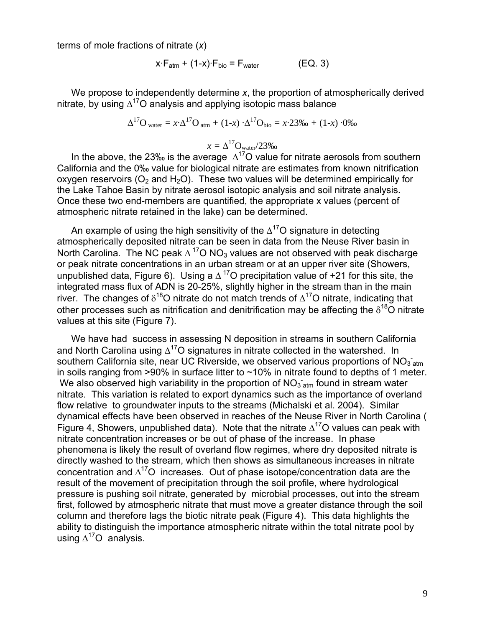terms of mole fractions of nitrate (*x*)

$$
x \cdot F_{atm} + (1-x) \cdot F_{bio} = F_{water}
$$
 (EQ. 3)

We propose to independently determine *x*, the proportion of atmospherically derived nitrate, by using  $\Delta^{17}$ O analysis and applying isotopic mass balance

$$
\Delta^{17} \text{O}_{\text{water}} = x \cdot \Delta^{17} \text{O}_{\text{atm}} + (1 - x) \cdot \Delta^{17} \text{O}_{\text{bio}} = x \cdot 23\% \text{o} + (1 - x) \cdot 0\%
$$

$$
x = \Delta^{17} \text{O}_{\text{water}} / 23\%
$$

In the above, the 23‰ is the average  $\Delta^{17}$ O value for nitrate aerosols from southern California and the 0‰ value for biological nitrate are estimates from known nitrification oxygen reservoirs ( $O<sub>2</sub>$  and  $H<sub>2</sub>O$ ). These two values will be determined empirically for the Lake Tahoe Basin by nitrate aerosol isotopic analysis and soil nitrate analysis. Once these two end-members are quantified, the appropriate x values (percent of atmospheric nitrate retained in the lake) can be determined.

An example of using the high sensitivity of the  $\Delta^{17}$ O signature in detecting atmospherically deposited nitrate can be seen in data from the Neuse River basin in North Carolina. The NC peak  $\Delta^{17}$ O NO<sub>3</sub> values are not observed with peak discharge or peak nitrate concentrations in an urban stream or at an upper river site (Showers, unpublished data, Figure 6). Using a  $\Delta^{17}$ O precipitation value of +21 for this site, the integrated mass flux of ADN is 20-25%, slightly higher in the stream than in the main river. The changes of  $\delta^{18}$ O nitrate do not match trends of  $\Delta^{17}$ O nitrate, indicating that other processes such as nitrification and denitrification may be affecting the  $\delta^{18}$ O nitrate values at this site (Figure 7).

We have had success in assessing N deposition in streams in southern California and North Carolina using  $\Delta^{17}$ O signatures in nitrate collected in the watershed. In southern California site, near UC Riverside, we observed various proportions of NO<sub>3</sub><sup>-</sup><sub>atm</sub> in soils ranging from  $>90\%$  in surface litter to  $\sim$  10% in nitrate found to depths of 1 meter. We also observed high variability in the proportion of  $NO_{3\text{ atm}}$  found in stream water nitrate. This variation is related to export dynamics such as the importance of overland flow relative to groundwater inputs to the streams (Michalski et al. 2004). Similar dynamical effects have been observed in reaches of the Neuse River in North Carolina ( Figure 4, Showers, unpublished data). Note that the nitrate  $\Delta^{17}$ O values can peak with nitrate concentration increases or be out of phase of the increase. In phase phenomena is likely the result of overland flow regimes, where dry deposited nitrate is directly washed to the stream, which then shows as simultaneous increases in nitrate concentration and  $\Delta^{17}O$  increases. Out of phase isotope/concentration data are the result of the movement of precipitation through the soil profile, where hydrological pressure is pushing soil nitrate, generated by microbial processes, out into the stream first, followed by atmospheric nitrate that must move a greater distance through the soil column and therefore lags the biotic nitrate peak (Figure 4). This data highlights the ability to distinguish the importance atmospheric nitrate within the total nitrate pool by using  $\Delta^{17}O$  analysis.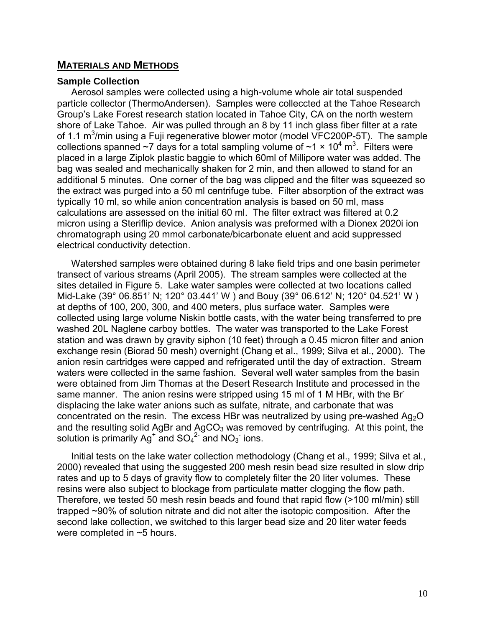#### **MATERIALS AND METHODS**

#### **Sample Collection**

Aerosol samples were collected using a high-volume whole air total suspended particle collector (ThermoAndersen). Samples were colleccted at the Tahoe Research Group's Lake Forest research station located in Tahoe City, CA on the north western shore of Lake Tahoe. Air was pulled through an 8 by 11 inch glass fiber filter at a rate of 1.1  $\text{m}^3$ /min using a Fuji regenerative blower motor (model VFC200P-5T). The sample collections spanned ~7 days for a total sampling volume of ~1  $\times$  10<sup>4</sup> m<sup>3</sup>. Filters were placed in a large Ziplok plastic baggie to which 60ml of Millipore water was added. The bag was sealed and mechanically shaken for 2 min, and then allowed to stand for an additional 5 minutes. One corner of the bag was clipped and the filter was squeezed so the extract was purged into a 50 ml centrifuge tube. Filter absorption of the extract was typically 10 ml, so while anion concentration analysis is based on 50 ml, mass calculations are assessed on the initial 60 ml. The filter extract was filtered at 0.2 micron using a Steriflip device. Anion analysis was preformed with a Dionex 2020i ion chromatograph using 20 mmol carbonate/bicarbonate eluent and acid suppressed electrical conductivity detection.

Watershed samples were obtained during 8 lake field trips and one basin perimeter transect of various streams (April 2005). The stream samples were collected at the sites detailed in Figure 5. Lake water samples were collected at two locations called Mid-Lake (39° 06.851' N; 120° 03.441' W ) and Bouy (39° 06.612' N; 120° 04.521' W ) at depths of 100, 200, 300, and 400 meters, plus surface water. Samples were collected using large volume Niskin bottle casts, with the water being transferred to pre washed 20L Naglene carboy bottles. The water was transported to the Lake Forest station and was drawn by gravity siphon (10 feet) through a 0.45 micron filter and anion exchange resin (Biorad 50 mesh) overnight (Chang et al., 1999; Silva et al., 2000). The anion resin cartridges were capped and refrigerated until the day of extraction. Stream waters were collected in the same fashion. Several well water samples from the basin were obtained from Jim Thomas at the Desert Research Institute and processed in the same manner. The anion resins were stripped using 15 ml of 1 M HBr, with the Brdisplacing the lake water anions such as sulfate, nitrate, and carbonate that was concentrated on the resin. The excess HBr was neutralized by using pre-washed  $Aq_2O$ and the resulting solid AgBr and AgCO<sub>3</sub> was removed by centrifuging. At this point, the and  $SO_4^2$  and  $NO_3^-$  ions.

Initial tests on the lake water collection methodology (Chang et al., 1999; Silva et al., 2000) revealed that using the suggested 200 mesh resin bead size resulted in slow drip rates and up to 5 days of gravity flow to completely filter the 20 liter volumes. These resins were also subject to blockage from particulate matter clogging the flow path. Therefore, we tested 50 mesh resin beads and found that rapid flow (>100 ml/min) still trapped ~90% of solution nitrate and did not alter the isotopic composition. After the second lake collection, we switched to this larger bead size and 20 liter water feeds were completed in ~5 hours.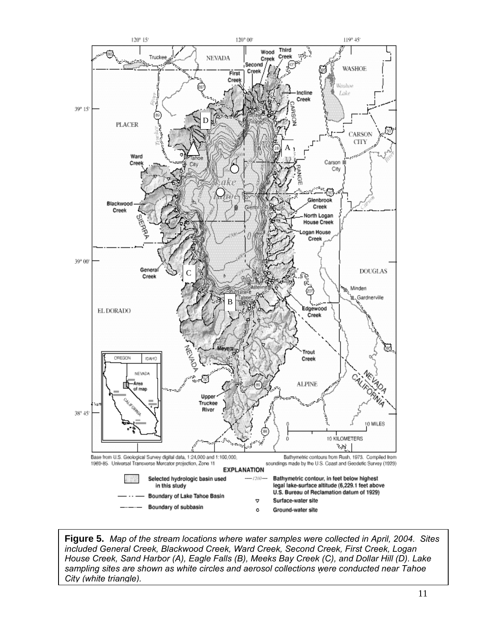

 **Figure 5.** *Map of the stream locations where water samples were collected in April, 2004. Sites*  Aerosol and watershed solutions containing SO4 *City (white triangle).*  sampling sites are shown as white circles and aerosol collections were conducted near Tahoe<br>City (white triangle). *included General Creek, Blackwood Creek, Ward Creek, Second Creek, First Creek, Logan House Creek, Sand Harbor (A), Eagle Falls (B), Meeks Bay Creek (C), and Dollar Hill (D). Lake*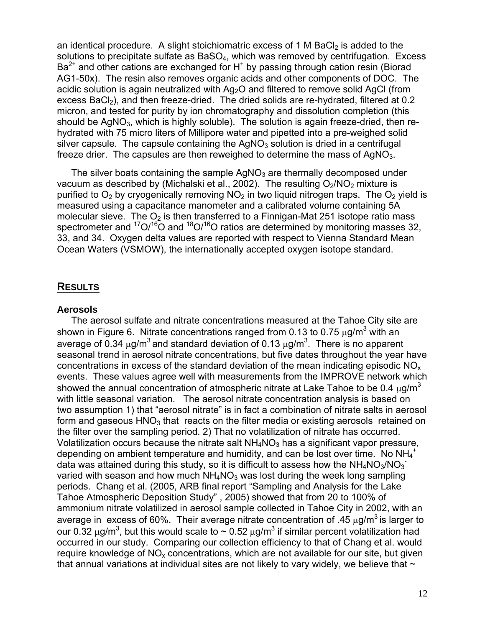an identical procedure. A slight stoichiomatric excess of 1 M BaCl<sub>2</sub> is added to the solutions to precipitate sulfate as BaSO<sub>4</sub>, which was removed by centrifugation. Excess  $Ba<sup>2+</sup>$  and other cations are exchanged for H<sup>+</sup> by passing through cation resin (Biorad AG1-50x). The resin also removes organic acids and other components of DOC. The acidic solution is again neutralized with Ag<sub>2</sub>O and filtered to remove solid AgCl (from excess BaCl<sub>2</sub>), and then freeze-dried. The dried solids are re-hydrated, filtered at 0.2 micron, and tested for purity by ion chromatography and dissolution completion (this should be  $AqNO<sub>3</sub>$ , which is highly soluble). The solution is again freeze-dried, then rehydrated with 75 micro liters of Millipore water and pipetted into a pre-weighed solid silver capsule. The capsule containing the  $AgNO<sub>3</sub>$  solution is dried in a centrifugal freeze drier. The capsules are then reweighed to determine the mass of  $AqNO<sub>3</sub>$ .

The silver boats containing the sample  $AqNO<sub>3</sub>$  are thermally decomposed under vacuum as described by (Michalski et al., 2002). The resulting  $O<sub>2</sub>/NO<sub>2</sub>$  mixture is purified to  $O_2$  by cryogenically removing  $NO_2$  in two liquid nitrogen traps. The  $O_2$  yield is measured using a capacitance manometer and a calibrated volume containing 5A molecular sieve. The  $O<sub>2</sub>$  is then transferred to a Finnigan-Mat 251 isotope ratio mass spectrometer and  ${}^{17}O/{}^{16}O$  and  ${}^{18}O/{}^{16}O$  ratios are determined by monitoring masses 32, 33, and 34. Oxygen delta values are reported with respect to Vienna Standard Mean Ocean Waters (VSMOW), the internationally accepted oxygen isotope standard.

# **RESULTS Aerosols**

The aerosol sulfate and nitrate concentrations measured at the Tahoe City site are shown in Figure 6. Nitrate concentrations ranged from 0.13 to 0.75  $\mu$ g/m<sup>3</sup> with an average of 0.34  $\mu$ g/m<sup>3</sup> and standard deviation of 0.13  $\mu$ g/m<sup>3</sup>. There is no apparent seasonal trend in aerosol nitrate concentrations, but five dates throughout the year have concentrations in excess of the standard deviation of the mean indicating episodic  $NO<sub>x</sub>$ events. These values agree well with measurements from the IMPROVE network which showed the annual concentration of atmospheric nitrate at Lake Tahoe to be 0.4  $\mu$ g/m<sup>3</sup> with little seasonal variation. The aerosol nitrate concentration analysis is based on two assumption 1) that "aerosol nitrate" is in fact a combination of nitrate salts in aerosol form and gaseous  $HNO<sub>3</sub>$  that reacts on the filter media or existing aerosols retained on the filter over the sampling period. 2) That no volatilization of nitrate has occurred. Volatilization occurs because the nitrate salt  $NH<sub>4</sub>NO<sub>3</sub>$  has a significant vapor pressure, depending on ambient temperature and humidity, and can be lost over time. No NH<sub>4</sub><sup>+</sup> data was attained during this study, so it is difficult to assess how the NH<sub>4</sub>NO<sub>3</sub>/NO<sub>3</sub> varied with season and how much  $NH<sub>4</sub>NO<sub>3</sub>$  was lost during the week long sampling periods. Chang et al. (2005, ARB final report "Sampling and Analysis for the Lake Tahoe Atmospheric Deposition Study" , 2005) showed that from 20 to 100% of ammonium nitrate volatilized in aerosol sample collected in Tahoe City in 2002, with an average in excess of 60%. Their average nitrate concentration of .45  $\mu$ g/m<sup>3</sup> is larger to our 0.32 μg/m<sup>3</sup>, but this would scale to  $\sim$  0.52 μg/m<sup>3</sup> if similar percent volatilization had occurred in our study. Comparing our collection efficiency to that of Chang et al. would require knowledge of  $NO<sub>x</sub>$  concentrations, which are not available for our site, but given that annual variations at individual sites are not likely to vary widely, we believe that  $\sim$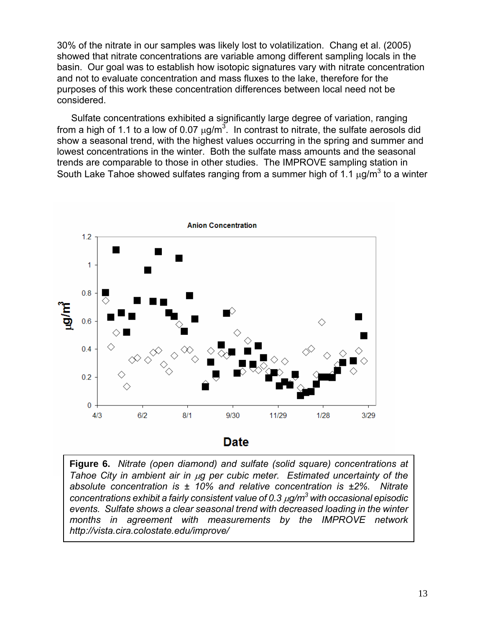30% of the nitrate in our samples was likely lost to volatilization. Chang et al. (2005) showed that nitrate concentrations are variable among different sampling locals in the basin. Our goal was to establish how isotopic signatures vary with nitrate concentration and not to evaluate concentration and mass fluxes to the lake, therefore for the purposes of this work these concentration differences between local need not be considered.

Sulfate concentrations exhibited a significantly large degree of variation, ranging from a high of 1.1 to a low of 0.07  $\mu$ g/m<sup>3</sup>. In contrast to nitrate, the sulfate aerosols did show a seasonal trend, with the highest values occurring in the spring and summer and lowest concentrations in the winter. Both the sulfate mass amounts and the seasonal trends are comparable to those in other studies. The IMPROVE sampling station in South Lake Tahoe showed sulfates ranging from a summer high of 1.1  $\mu$ g/m<sup>3</sup> to a winter



 **Figure 6.** *Nitrate (open diamond) and sulfate (solid square) concentrations at Tahoe City in ambient air in* μ*g per cubic meter. Estimated uncertainty of the absolute concentration is ± 10% and relative concentration is ±2%. Nitrate concentrations exhibit a fairly consistent value of 0.3* μ*g/m3 with occasional episodic events. Sulfate shows a clear seasonal trend with decreased loading in the winter months in agreement with measurements by the IMPROVE network [http://vista.cira.colostate.edu/improve/](http://vista.cira.colostate.edu/improve)*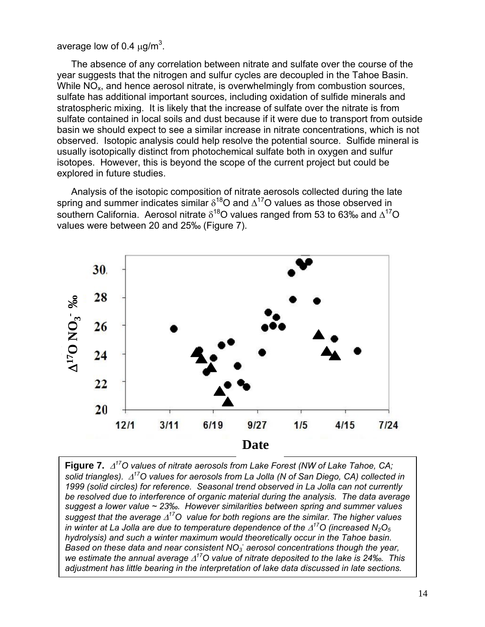average low of 0.4  $\mu$ g/m<sup>3</sup>.

The absence of any correlation between nitrate and sulfate over the course of the year suggests that the nitrogen and sulfur cycles are decoupled in the Tahoe Basin. While  $NO<sub>x</sub>$ , and hence aerosol nitrate, is overwhelmingly from combustion sources, sulfate has additional important sources, including oxidation of sulfide minerals and stratospheric mixing. It is likely that the increase of sulfate over the nitrate is from sulfate contained in local soils and dust because if it were due to transport from outside basin we should expect to see a similar increase in nitrate concentrations, which is not observed. Isotopic analysis could help resolve the potential source. Sulfide mineral is usually isotopically distinct from photochemical sulfate both in oxygen and sulfur isotopes. However, this is beyond the scope of the current project but could be explored in future studies.

Analysis of the isotopic composition of nitrate aerosols collected during the late spring and summer indicates similar  $\delta^{18}$ O and  $\Delta^{17}$ O values as those observed in southern California. Aerosol nitrate  $\delta^{18}$ O values ranged from 53 to 63‰ and  $\Delta^{17}$ O values were between 20 and 25‰ (Figure 7).



 **Figure 7.** Δ*17O values of nitrate aerosols from Lake Forest (NW of Lake Tahoe, CA; solid triangles).* Δ*17O values for aerosols from La Jolla (N of San Diego, CA) collected in 1999 (solid circles) for reference. Seasonal trend observed in La Jolla can not currently be resolved due to interference of organic material during the analysis. The data average suggest a lower value ~ 23‰. However similarities between spring and summer values suggest that the average* Δ*17O value for both regions are the similar. The higher values in winter at La Jolla are due to temperature dependence of the*  $\Delta^{17}$ *O (increased N<sub>2</sub>O<sub>5</sub> hydrolysis) and such a winter maximum would theoretically occur in the Tahoe basin.*  Based on these data and near consistent NO<sub>3</sub> aerosol concentrations though the year, *we estimate the annual average* Δ*17O value of nitrate deposited to the lake is 24‰. This adjustment has little bearing in the interpretation of lake data discussed in late sections.*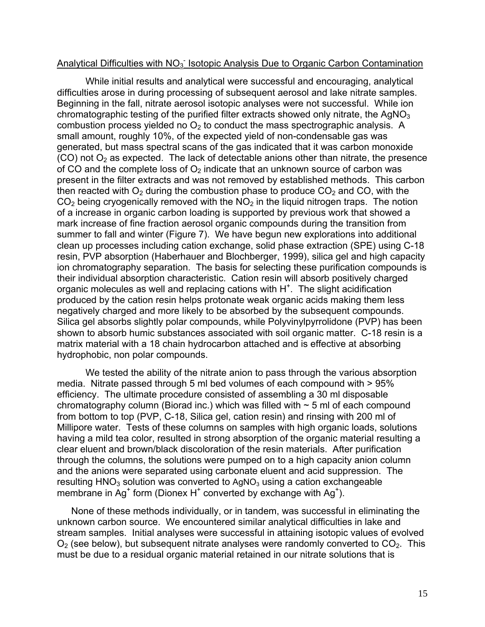# Analytical Difficulties with NO<sub>3</sub><sup>-</sup> Isotopic Analysis Due to Organic Carbon Contamination

While initial results and analytical were successful and encouraging, analytical difficulties arose in during processing of subsequent aerosol and lake nitrate samples. Beginning in the fall, nitrate aerosol isotopic analyses were not successful. While ion chromatographic testing of the purified filter extracts showed only nitrate, the  $AqNQ_3$ combustion process yielded no  $O_2$  to conduct the mass spectrographic analysis. A small amount, roughly 10%, of the expected yield of non-condensable gas was generated, but mass spectral scans of the gas indicated that it was carbon monoxide  $(CO)$  not  $O<sub>2</sub>$  as expected. The lack of detectable anions other than nitrate, the presence of CO and the complete loss of  $O<sub>2</sub>$  indicate that an unknown source of carbon was present in the filter extracts and was not removed by established methods. This carbon then reacted with  $O<sub>2</sub>$  during the combustion phase to produce  $CO<sub>2</sub>$  and CO, with the  $CO<sub>2</sub>$  being cryogenically removed with the NO<sub>2</sub> in the liguid nitrogen traps. The notion of a increase in organic carbon loading is supported by previous work that showed a mark increase of fine fraction aerosol organic compounds during the transition from summer to fall and winter (Figure 7). We have begun new explorations into additional clean up processes including cation exchange, solid phase extraction (SPE) using C-18 resin, PVP absorption (Haberhauer and Blochberger, 1999), silica gel and high capacity ion chromatography separation. The basis for selecting these purification compounds is their individual absorption characteristic. Cation resin will absorb positively charged organic molecules as well and replacing cations with  $H^+$ . The slight acidification produced by the cation resin helps protonate weak organic acids making them less negatively charged and more likely to be absorbed by the subsequent compounds. Silica gel absorbs slightly polar compounds, while Polyvinylpyrrolidone (PVP) has been shown to absorb humic substances associated with soil organic matter. C-18 resin is a matrix material with a 18 chain hydrocarbon attached and is effective at absorbing hydrophobic, non polar compounds.

We tested the ability of the nitrate anion to pass through the various absorption media. Nitrate passed through 5 ml bed volumes of each compound with > 95% efficiency. The ultimate procedure consisted of assembling a 30 ml disposable chromatography column (Biorad inc.) which was filled with  $\sim$  5 ml of each compound from bottom to top (PVP, C-18, Silica gel, cation resin) and rinsing with 200 ml of Millipore water. Tests of these columns on samples with high organic loads, solutions having a mild tea color, resulted in strong absorption of the organic material resulting a clear eluent and brown/black discoloration of the resin materials. After purification through the columns, the solutions were pumped on to a high capacity anion column and the anions were separated using carbonate eluent and acid suppression. The resulting  $HNO<sub>3</sub>$  solution was converted to AgNO<sub>3</sub> using a cation exchangeable membrane in Ag<sup>+</sup> form (Dionex H<sup>+</sup> converted by exchange with Ag<sup>+</sup>).

None of these methods individually, or in tandem, was successful in eliminating the unknown carbon source. We encountered similar analytical difficulties in lake and stream samples. Initial analyses were successful in attaining isotopic values of evolved  $O<sub>2</sub>$  (see below), but subsequent nitrate analyses were randomly converted to  $CO<sub>2</sub>$ . This must be due to a residual organic material retained in our nitrate solutions that is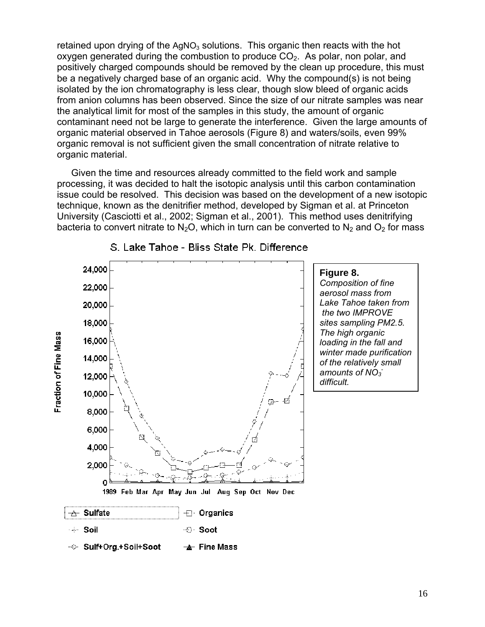retained upon drying of the  $AqNO<sub>3</sub>$  solutions. This organic then reacts with the hot oxygen generated during the combustion to produce  $CO<sub>2</sub>$ . As polar, non polar, and positively charged compounds should be removed by the clean up procedure, this must be a negatively charged base of an organic acid. Why the compound(s) is not being isolated by the ion chromatography is less clear, though slow bleed of organic acids from anion columns has been observed. Since the size of our nitrate samples was near the analytical limit for most of the samples in this study, the amount of organic contaminant need not be large to generate the interference. Given the large amounts of organic material observed in Tahoe aerosols (Figure 8) and waters/soils, even 99% organic removal is not sufficient given the small concentration of nitrate relative to organic material.

Given the time and resources already committed to the field work and sample processing, it was decided to halt the isotopic analysis until this carbon contamination issue could be resolved. This decision was based on the development of a new isotopic technique, known as the denitrifier method, developed by Sigman et al. at Princeton University (Casciotti et al., 2002; Sigman et al., 2001). This method uses denitrifying bacteria to convert nitrate to N<sub>2</sub>O, which in turn can be converted to N<sub>2</sub> and O<sub>2</sub> for mass



#### S. Lake Tahoe - Bliss State Pk. Difference

 **Figure 8.**  *amounts of NO3 - Composition of fine aerosol mass from Lake Tahoe taken from the two IMPROVE sites sampling PM2.5. The high organic loading in the fall and winter made purification of the relatively small*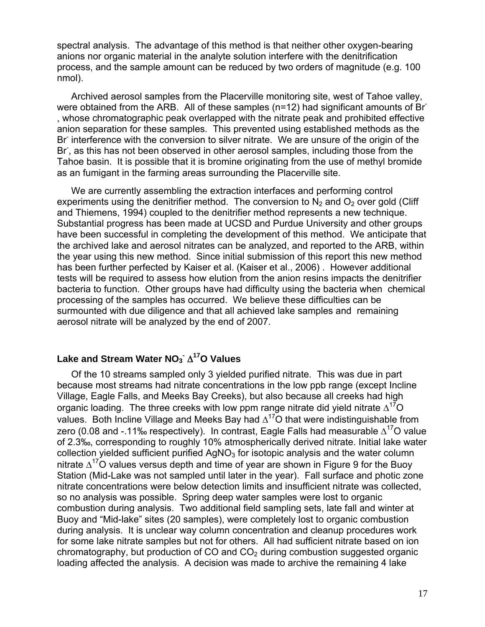spectral analysis. The advantage of this method is that neither other oxygen-bearing anions nor organic material in the analyte solution interfere with the denitrification process, and the sample amount can be reduced by two orders of magnitude (e.g. 100 nmol).

Archived aerosol samples from the Placerville monitoring site, west of Tahoe valley, were obtained from the ARB. All of these samples (n=12) had significant amounts of Br- , whose chromatographic peak overlapped with the nitrate peak and prohibited effective anion separation for these samples. This prevented using established methods as the Br interference with the conversion to silver nitrate. We are unsure of the origin of the Br<sup>-</sup>, as this has not been observed in other aerosol samples, including those from the Tahoe basin. It is possible that it is bromine originating from the use of methyl bromide as an fumigant in the farming areas surrounding the Placerville site.

We are currently assembling the extraction interfaces and performing control experiments using the denitrifier method. The conversion to  $N<sub>2</sub>$  and  $O<sub>2</sub>$  over gold (Cliff and Thiemens, 1994) coupled to the denitrifier method represents a new technique. Substantial progress has been made at UCSD and Purdue University and other groups have been successful in completing the development of this method. We anticipate that the archived lake and aerosol nitrates can be analyzed, and reported to the ARB, within the year using this new method. Since initial submission of this report this new method has been further perfected by Kaiser et al. (Kaiser et al., 2006) . However additional tests will be required to assess how elution from the anion resins impacts the denitrifier bacteria to function. Other groups have had difficulty using the bacteria when chemical processing of the samples has occurred. We believe these difficulties can be surmounted with due diligence and that all achieved lake samples and remaining aerosol nitrate will be analyzed by the end of 2007.

# **- Lake and Stream Water NO3** Δ**17O Values**

Of the 10 streams sampled only 3 yielded purified nitrate. This was due in part because most streams had nitrate concentrations in the low ppb range (except Incline Village, Eagle Falls, and Meeks Bay Creeks), but also because all creeks had high organic loading. The three creeks with low ppm range nitrate did yield nitrate  $\Delta^{17}$ O values. Both Incline Village and Meeks Bay had  $\Delta^{17}$ O that were indistinguishable from zero (0.08 and -.11‰ respectively). In contrast, Eagle Falls had measurable  $\Delta^{17}$ O value of 2.3‰, corresponding to roughly 10% atmospherically derived nitrate. Initial lake water collection yielded sufficient purified  $AqNO<sub>3</sub>$  for isotopic analysis and the water column nitrate  $\Delta^{17}$ O values versus depth and time of year are shown in Figure 9 for the Buoy Station (Mid-Lake was not sampled until later in the year). Fall surface and photic zone nitrate concentrations were below detection limits and insufficient nitrate was collected, so no analysis was possible. Spring deep water samples were lost to organic combustion during analysis. Two additional field sampling sets, late fall and winter at Buoy and "Mid-lake" sites (20 samples), were completely lost to organic combustion during analysis. It is unclear way column concentration and cleanup procedures work for some lake nitrate samples but not for others. All had sufficient nitrate based on ion chromatography, but production of  $CO$  and  $CO<sub>2</sub>$  during combustion suggested organic loading affected the analysis. A decision was made to archive the remaining 4 lake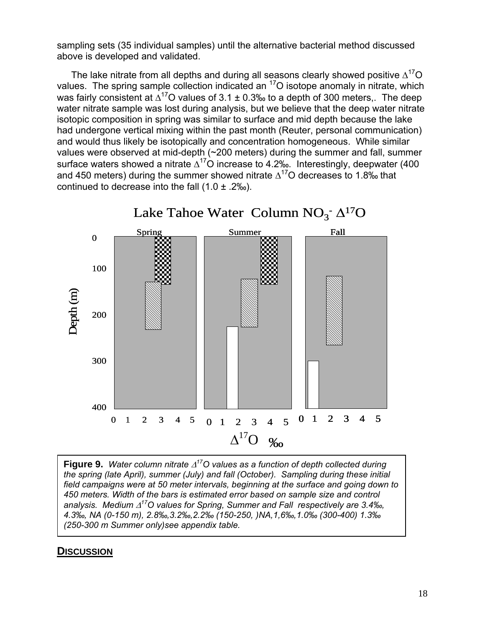sampling sets (35 individual samples) until the alternative bacterial method discussed above is developed and validated.

The lake nitrate from all depths and during all seasons clearly showed positive  $\Delta^{17}O$ values. The spring sample collection indicated an <sup>17</sup>O isotope anomaly in nitrate, which was fairly consistent at  $\Delta^{17}$ O values of 3.1 ± 0.3‰ to a depth of 300 meters.. The deep water nitrate sample was lost during analysis, but we believe that the deep water nitrate isotopic composition in spring was similar to surface and mid depth because the lake had undergone vertical mixing within the past month (Reuter, personal communication) and would thus likely be isotopically and concentration homogeneous. While similar values were observed at mid-depth (~200 meters) during the summer and fall, summer surface waters showed a nitrate  $\Delta^{17}$ O increase to 4.2‰. Interestingly, deepwater (400 and 450 meters) during the summer showed nitrate  $\Delta^{17}$ O decreases to 1.8‰ that continued to decrease into the fall  $(1.0 \pm .2\%)$ .



Lake Tahoe Water Column  $NO_3^- \Delta^{17}O$ 

**Figure 9.** *Water column nitrate* Δ*17O values as a function of depth collected during the spring (late April), summer (July) and fall (October). Sampling during these initial field campaigns were at 50 meter intervals, beginning at the surface and going down to 450 meters. Width of the bars is estimated error based on sample size and control analysis. Medium* Δ*17O values for Spring, Summer and Fall respectively are 3.4‰, 4.3‰, NA (0-150 m), 2.8‰,3.2‰,2.2‰ (150-250, )NA,1,6‰,1.0‰ (300-400) 1.3‰ (250-300 m Summer only)see appendix table.* 

## **DISCUSSION**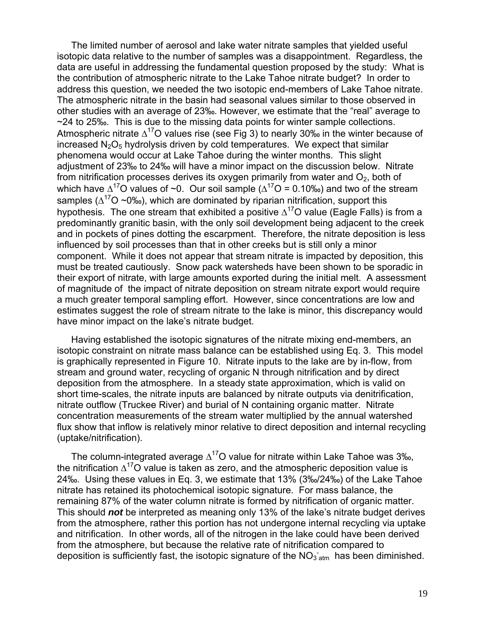The limited number of aerosol and lake water nitrate samples that yielded useful isotopic data relative to the number of samples was a disappointment. Regardless, the data are useful in addressing the fundamental question proposed by the study: What is the contribution of atmospheric nitrate to the Lake Tahoe nitrate budget? In order to address this question, we needed the two isotopic end-members of Lake Tahoe nitrate. The atmospheric nitrate in the basin had seasonal values similar to those observed in other studies with an average of 23‰. However, we estimate that the "real" average to ~24 to 25‰. This is due to the missing data points for winter sample collections. Atmospheric nitrate  $\Delta^{17}O$  values rise (see Fig 3) to nearly 30‰ in the winter because of increased  $N_2O_5$  hydrolysis driven by cold temperatures. We expect that similar phenomena would occur at Lake Tahoe during the winter months. This slight adjustment of 23‰ to 24‰ will have a minor impact on the discussion below. Nitrate from nitrification processes derives its oxygen primarily from water and  $O<sub>2</sub>$ , both of which have  $\Delta^{17}$ O values of ~0. Our soil sample ( $\Delta^{17}$ O = 0.10‰) and two of the stream samples ( $\Delta^{17}$ O ~0‰), which are dominated by riparian nitrification, support this hypothesis. The one stream that exhibited a positive  $\Delta^{17}$ O value (Eagle Falls) is from a predominantly granitic basin, with the only soil development being adjacent to the creek and in pockets of pines dotting the escarpment. Therefore, the nitrate deposition is less influenced by soil processes than that in other creeks but is still only a minor component. While it does not appear that stream nitrate is impacted by deposition, this must be treated cautiously. Snow pack watersheds have been shown to be sporadic in their export of nitrate, with large amounts exported during the initial melt. A assessment of magnitude of the impact of nitrate deposition on stream nitrate export would require a much greater temporal sampling effort. However, since concentrations are low and estimates suggest the role of stream nitrate to the lake is minor, this discrepancy would have minor impact on the lake's nitrate budget.

Having established the isotopic signatures of the nitrate mixing end-members, an isotopic constraint on nitrate mass balance can be established using Eq. 3. This model is graphically represented in Figure 10. Nitrate inputs to the lake are by in-flow, from stream and ground water, recycling of organic N through nitrification and by direct deposition from the atmosphere. In a steady state approximation, which is valid on short time-scales, the nitrate inputs are balanced by nitrate outputs via denitrification, nitrate outflow (Truckee River) and burial of N containing organic matter. Nitrate concentration measurements of the stream water multiplied by the annual watershed flux show that inflow is relatively minor relative to direct deposition and internal recycling (uptake/nitrification).

The column-integrated average  $\Delta^{17}$ O value for nitrate within Lake Tahoe was 3‰, the nitrification  $\Delta^{17}$ O value is taken as zero, and the atmospheric deposition value is 24‰. Using these values in Eq. 3, we estimate that 13% (3‰/24‰) of the Lake Tahoe nitrate has retained its photochemical isotopic signature. For mass balance, the remaining 87% of the water column nitrate is formed by nitrification of organic matter. This should *not* be interpreted as meaning only 13% of the lake's nitrate budget derives from the atmosphere, rather this portion has not undergone internal recycling via uptake and nitrification. In other words, all of the nitrogen in the lake could have been derived from the atmosphere, but because the relative rate of nitrification compared to deposition is sufficiently fast, the isotopic signature of the  $NO_{3\,\text{atm}}$  has been diminished.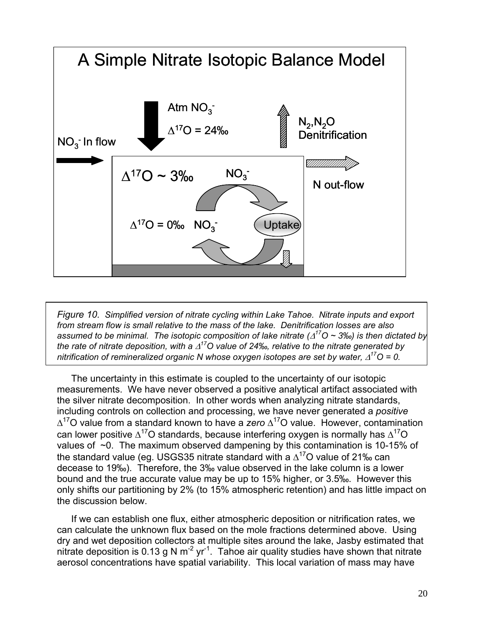

*Figure 10. Simplified version of nitrate cycling within Lake Tahoe. Nitrate inputs and export from stream flow is small relative to the mass of the lake. Denitrification losses are also assumed to be minimal. The isotopic composition of lake nitrate (*Δ*17O ~ 3‰) is then dictated by the rate of nitrate deposition, with a* Δ*17O value of 24‰, relative to the nitrate generated by nitrification of remineralized organic N whose oxygen isotopes are set by water,* Δ*17O = 0.* 

The uncertainty in this estimate is coupled to the uncertainty of our isotopic measurements. We have never observed a positive analytical artifact associated with the silver nitrate decomposition. In other words when analyzing nitrate standards, including controls on collection and processing, we have never generated a *positive*  Δ17O value from a standard known to have a *zero* Δ17O value. However, contamination can lower positive  $\Delta^{17}$ O standards, because interfering oxygen is normally has  $\Delta^{17}$ O values of  $\sim$ 0. The maximum observed dampening by this contamination is 10-15% of the standard value (eg. USGS35 nitrate standard with a  $\Delta^{17}$ O value of 21‰ can decease to 19‰). Therefore, the 3‰ value observed in the lake column is a lower bound and the true accurate value may be up to 15% higher, or 3.5‰. However this only shifts our partitioning by 2% (to 15% atmospheric retention) and has little impact on the discussion below.

If we can establish one flux, either atmospheric deposition or nitrification rates, we can calculate the unknown flux based on the mole fractions determined above. Using dry and wet deposition collectors at multiple sites around the lake, Jasby estimated that nitrate deposition is 0.13 g N  $m^{-2}$  yr<sup>-1</sup>. Tahoe air quality studies have shown that nitrate aerosol concentrations have spatial variability. This local variation of mass may have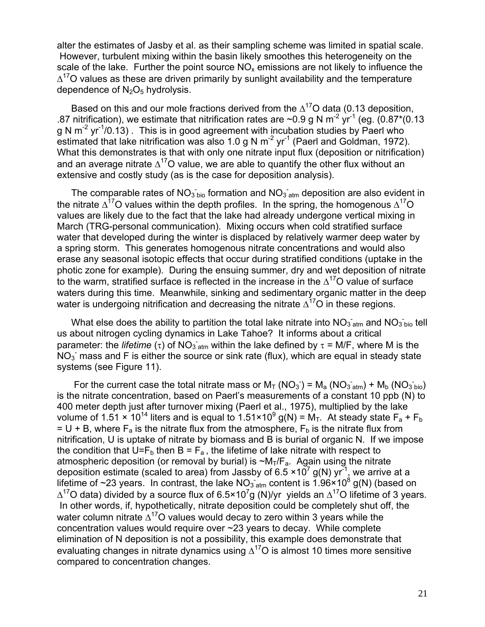alter the estimates of Jasby et al. as their sampling scheme was limited in spatial scale. However, turbulent mixing within the basin likely smoothes this heterogeneity on the scale of the lake. Further the point source  $NO<sub>x</sub>$  emissions are not likely to influence the  $\Delta^{17}$ O values as these are driven primarily by sunlight availability and the temperature dependence of  $N_2O_5$  hydrolysis.

Based on this and our mole fractions derived from the  $\Delta^{17}$ O data (0.13 deposition, .87 nitrification), we estimate that nitrification rates are  $\sim$ 0.9 g N m<sup>-2</sup> yr<sup>-1</sup> (eg. (0.87<sup>\*</sup>(0.13) g N  $m^{-2}$  yr<sup>-1</sup>/0.13). This is in good agreement with incubation studies by Paerl who estimated that lake nitrification was also 1.0 g N  $\text{m}^2$  yr<sup>-1</sup> (Paerl and Goldman, 1972). What this demonstrates is that with only one nitrate input flux (deposition or nitrification) and an average nitrate  $\Delta^{17}$ O value, we are able to quantify the other flux without an extensive and costly study (as is the case for deposition analysis).

The comparable rates of NO<sub>3</sub> bio formation and NO<sub>3</sub>  $_{\text{atm}}$  deposition are also evident in the nitrate  $\Delta^{17}O$  values within the depth profiles. In the spring, the homogenous  $\Delta^{17}O$ values are likely due to the fact that the lake had already undergone vertical mixing in March (TRG-personal communication). Mixing occurs when cold stratified surface water that developed during the winter is displaced by relatively warmer deep water by a spring storm. This generates homogenous nitrate concentrations and would also erase any seasonal isotopic effects that occur during stratified conditions (uptake in the photic zone for example). During the ensuing summer, dry and wet deposition of nitrate to the warm, stratified surface is reflected in the increase in the  $\Delta^{17}$ O value of surface waters during this time. Meanwhile, sinking and sedimentary organic matter in the deep water is undergoing nitrification and decreasing the nitrate  $\Delta^{17}O$  in these regions.

What else does the ability to partition the total lake nitrate into  $NO_{3a}^-$  and  $NO_{3ab}^$ us about nitrogen cycling dynamics in Lake Tahoe? It informs about a critical parameter: the *lifetime* (τ) of NO<sub>3 atm</sub> within the lake defined by  $\tau$  = M/F, where M is the  $NO<sub>3</sub>$  mass and F is either the source or sink rate (flux), which are equal in steady state systems (see Figure 11).

For the current case the total nitrate mass or  $M_T (NO_3^-) = M_a (NO_3^-_{atm}) + M_b (NO_3^-_{bio})$ is the nitrate concentration, based on Paerl's measurements of a constant 10 ppb (N) to 400 meter depth just after turnover mixing (Paerl et al., 1975), multiplied by the lake volume of 1.51  $\times$  10<sup>14</sup> liters and is equal to 1.51 $\times$ 10<sup>9</sup> g(N) = M<sub>T</sub>. At steady state F<sub>a</sub> + F<sub>b</sub>  $= U + B$ , where  $F_a$  is the nitrate flux from the atmosphere,  $F_b$  is the nitrate flux from nitrification, U is uptake of nitrate by biomass and B is burial of organic N. If we impose the condition that U=F<sub>b</sub> then B = F<sub>a</sub>, the lifetime of lake nitrate with respect to atmospheric deposition (or removal by burial) is  $\neg M_T/F_a$ . Again using the nitrate deposition estimate (scaled to area) from Jassby of 6.5 ×10<sup>7</sup> g(N) yr <sup>-1</sup>, we arrive at a<br>lifetime of ~23 years. In contrast, the lake NO<sub>3 atm</sub> content is 1.96×10<sup>8</sup> g(N) (based oı lifetime of ~23 years. In contrast, the lake  $NO<sub>3 atm</sub>$  content is 1.96×10<sup>8</sup> g(N) (based on  $\Delta^{17}$ O data) divided by a source flux of 6.5×10<sup>7</sup>g (N)/yr yields an  $\Delta^{17}$ O lifetime of 3 years. In other words, if, hypothetically, nitrate deposition could be completely shut off, the water column nitrate  $\Delta^{17}$ O values would decay to zero within 3 years while the concentration values would require over ~23 years to decay. While complete elimination of N deposition is not a possibility, this example does demonstrate that evaluating changes in nitrate dynamics using  $\Delta^{17}$ O is almost 10 times more sensitive compared to concentration changes.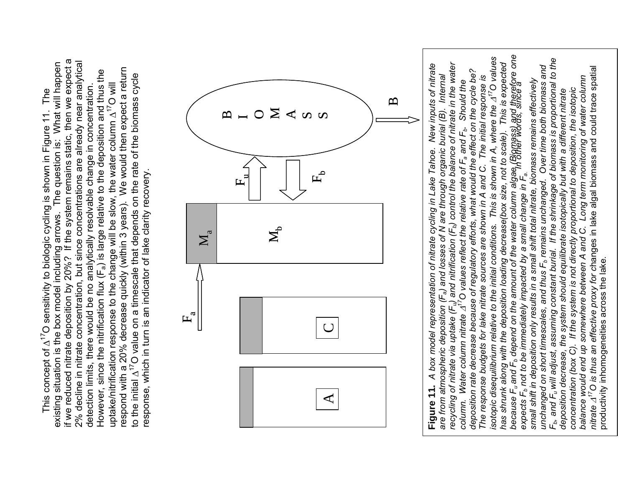existing situation is the box model including arrows. The question is: What will happen<br>if we reduced nitrate deposition by 20%? If the system remains static, then we expect a if we reduced nitrate deposition by 20%? If the system remains static, then we expect a 2% decline in nitrate concentration, but since concentrations are already near analytical 2% decline in nitrate concentration, but since concentrations are already near analytical existing situation is the box model including arrows. The question is: What will happen respond with a 20% decrease quickly (within 3 years). We would then expect a return However, since the nitrification flux (F<sub>a</sub>) is large relative to the deposition and thus the respond with a 20% decrease quickly (within 3 years). We would then expect a return However, since the nitrification flux (Fa) is large relative to the deposition and thus the to the initial  $\Delta^{17}$ O value on a timescale that depends on the rate of the biomass cycle to the initial  $\Delta^{17}$ O value on a timescale that depends on the rate of the biomass cycle uptake/nitrification response to the change will be slow, the water column A<sup>17</sup>O will uptake/nitrification response to the change will be slow, the water column  $\Delta^{17}O$  will detection limits, there would be no analytically resolvable change in concentration. detection limits, there would be no analytically resolvable change in concentration. This concept of  $\Delta^{17}$ O sensitivity to biologic cycling is shown in Figure 11. The This concept of  $\Delta^{17}$ O sensitivity to biologic cycling is shown in Figure 11. The response, which in turn is an indicator of lake clarity recovery. response, which in turn is an indicator of lake clarity recovery.



*isotopic disequilibrium relative to the initial conditions. This is shown in A, where the*  $\Delta^{17}$ *O values* because F<sub>u</sub> and F<sub>b</sub> depend on the amount of the water column algae<sub>n</sub> (Bipmass) and therefore one<br>expects F<sub>b</sub> not to be immediately impacted by a small change in F<sub>a.</sub> *because Fu and Fb depend on the amount of the water column algae (Biomass) and therefore one* isotopic disequilibrium relative to the initial conditions. This is shown in A, where the  $\varDelta^{17}$ O values  $F_{\rm b}$ , and  $F_{\rm u}$  will adjust, assuming constant burial. If the shrinkage of biomass is proportional to the *Fb, and Fu will adjust, assuming constant burial. If the shrinkage of biomass is proportional to the* **Figure 11.** A box model representation of nitrate cycling in Lake Tahoe. New inputs of nitrate are from atmospheric deposition (F<sub>a</sub>) and losses of N are through organic burial (B). Internal recycling of nitrate via upta has shrunk along with the deposition loading decrease(box size, not to scale). This is expected *recycling of nitrate via uptake (Fu) and nitrification (Fb) control the balance of nitrate in the water has shrunk along with the deposition loading decrease(box size, not to scale). This is expected* unchanged on short timescales, and thus F<sub>b</sub> remains unchanged. Over time both biomass and **Figure 11.** *A box model representation of nitrate cycling in Lake Tahoe. New inputs of nitrate* unchanged on short timescales, and thus F<sub>b</sub> remains unchanged. Over time both biomass and nitrate  $\varDelta^{7}$ O is thus an effective proxy for changes in lake algal biomass and could trace spatial *nitrate* Δ*17O is thus an effective proxy for c*hanges in lake algal biomass and could trace spatial deposition rate decrease because of regulatory efforts, what would the effect on the cycle be? *deposition rate decrease because of regulatory efforts, what would the effect on the cycle be? are from atmospheric deposition (Fa) and losses of N are through organic burial (B). Internal*  The response budgets for lake nitrate sources are shown in A and C. The initial response is concentration (box C). If the system is not directly proportional to deposition, the isotopic<br>balance would end up somewhere between A and C. Long term monitoring of water column *balance would end up somewhere between A and C. Long term monitoring of water column The response budgets for lake nitrate sources are shown in A and C. The initial response is* small shift in deposition only results in a small shift total nitrate, biomass remains effectively *small shift in deposition only results in a small shift total nitrate, biomass remains effectively column. Water column nitrate*  $\varDelta^{17}$ O values reflect the relative rate of F<sub>a</sub> and F<sub>b</sub>. Should the  *In other words, since a concentration (box C). If the system is not directly proportional to deposition, the isotopic* deposition decrease, the system should equilibrate isotopically but with a different nitrate *deposition decrease, the system should equilibrate isotopically but with a different nitrate* expects F<sub>b</sub> not to be immediately impacted by a small change in F<sub>a.</sub>

productivity inhomogeneities across the lake.

productivity inhomogeneities across the lake.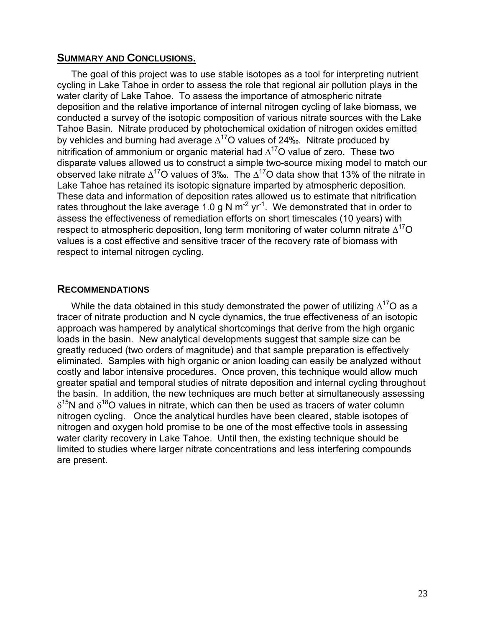### **SUMMARY AND CONCLUSIONS.**

The goal of this project was to use stable isotopes as a tool for interpreting nutrient cycling in Lake Tahoe in order to assess the role that regional air pollution plays in the water clarity of Lake Tahoe. To assess the importance of atmospheric nitrate deposition and the relative importance of internal nitrogen cycling of lake biomass, we conducted a survey of the isotopic composition of various nitrate sources with the Lake Tahoe Basin. Nitrate produced by photochemical oxidation of nitrogen oxides emitted by vehicles and burning had average  $\Delta^{17}$ O values of 24‰. Nitrate produced by nitrification of ammonium or organic material had  $\Delta^{17}$ O value of zero. These two disparate values allowed us to construct a simple two-source mixing model to match our observed lake nitrate  $\Delta^{17}$ O values of 3‰. The  $\Delta^{17}$ O data show that 13% of the nitrate in Lake Tahoe has retained its isotopic signature imparted by atmospheric deposition. These data and information of deposition rates allowed us to estimate that nitrification rates throughout the lake average 1.0 g N  $m^{-2}$  yr<sup>-1</sup>. We demonstrated that in order to assess the effectiveness of remediation efforts on short timescales (10 years) with respect to atmospheric deposition, long term monitoring of water column nitrate  $\Delta^{17}O$ values is a cost effective and sensitive tracer of the recovery rate of biomass with respect to internal nitrogen cycling.

### **RECOMMENDATIONS**

While the data obtained in this study demonstrated the power of utilizing  $\Delta^{17}O$  as a tracer of nitrate production and N cycle dynamics, the true effectiveness of an isotopic approach was hampered by analytical shortcomings that derive from the high organic loads in the basin. New analytical developments suggest that sample size can be greatly reduced (two orders of magnitude) and that sample preparation is effectively eliminated. Samples with high organic or anion loading can easily be analyzed without costly and labor intensive procedures. Once proven, this technique would allow much greater spatial and temporal studies of nitrate deposition and internal cycling throughout the basin. In addition, the new techniques are much better at simultaneously assessing  $\delta^{15}$ N and  $\delta^{18}$ O values in nitrate, which can then be used as tracers of water column nitrogen cycling. Once the analytical hurdles have been cleared, stable isotopes of nitrogen and oxygen hold promise to be one of the most effective tools in assessing water clarity recovery in Lake Tahoe. Until then, the existing technique should be limited to studies where larger nitrate concentrations and less interfering compounds are present.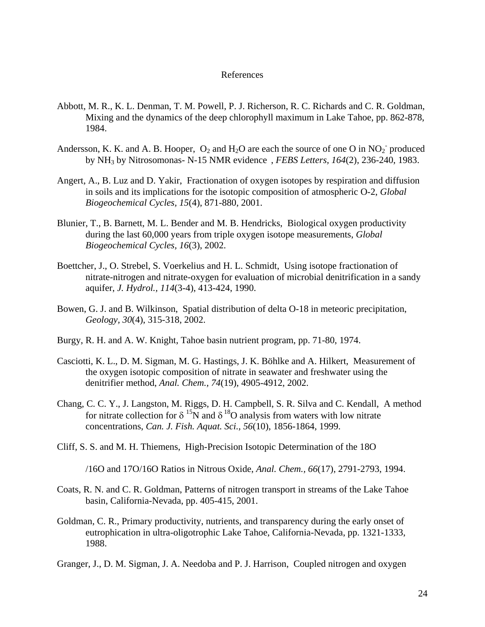#### References

- Abbott, M. R., K. L. Denman, T. M. Powell, P. J. Richerson, R. C. Richards and C. R. Goldman, Mixing and the dynamics of the deep chlorophyll maximum in Lake Tahoe, pp. 862-878, 1984.
- Andersson, K. K. and A. B. Hooper,  $O_2$  and  $H_2O$  are each the source of one O in  $NO_2^-$  produced by NH3 by Nitrosomonas- N-15 NMR evidence , *FEBS Letters, 164*(2), 236-240, 1983.
- Angert, A., B. Luz and D. Yakir, Fractionation of oxygen isotopes by respiration and diffusion in soils and its implications for the isotopic composition of atmospheric O-2, *Global Biogeochemical Cycles, 15*(4), 871-880, 2001.
- Blunier, T., B. Barnett, M. L. Bender and M. B. Hendricks, Biological oxygen productivity during the last 60,000 years from triple oxygen isotope measurements, *Global Biogeochemical Cycles, 16*(3), 2002.
- Boettcher, J., O. Strebel, S. Voerkelius and H. L. Schmidt, Using isotope fractionation of nitrate-nitrogen and nitrate-oxygen for evaluation of microbial denitrification in a sandy aquifer, *J. Hydrol., 114*(3-4), 413-424, 1990.
- Bowen, G. J. and B. Wilkinson, Spatial distribution of delta O-18 in meteoric precipitation, *Geology, 30*(4), 315-318, 2002.
- Burgy, R. H. and A. W. Knight, Tahoe basin nutrient program, pp. 71-80, 1974.
- Casciotti, K. L., D. M. Sigman, M. G. Hastings, J. K. Böhlke and A. Hilkert, Measurement of the oxygen isotopic composition of nitrate in seawater and freshwater using the denitrifier method, *Anal. Chem., 74*(19), 4905-4912, 2002.
- Chang, C. C. Y., J. Langston, M. Riggs, D. H. Campbell, S. R. Silva and C. Kendall, A method for nitrate collection for  $\delta^{15}$ N and  $\delta^{18}$ O analysis from waters with low nitrate concentrations, *Can. J. Fish. Aquat. Sci., 56*(10), 1856-1864, 1999.
- Cliff, S. S. and M. H. Thiemens, High-Precision Isotopic Determination of the 18O

/16O and 17O/16O Ratios in Nitrous Oxide, *Anal. Chem., 66*(17), 2791-2793, 1994.

- Coats, R. N. and C. R. Goldman, Patterns of nitrogen transport in streams of the Lake Tahoe basin, California-Nevada, pp. 405-415, 2001.
- Goldman, C. R., Primary productivity, nutrients, and transparency during the early onset of eutrophication in ultra-oligotrophic Lake Tahoe, California-Nevada, pp. 1321-1333, 1988.
- Granger, J., D. M. Sigman, J. A. Needoba and P. J. Harrison, Coupled nitrogen and oxygen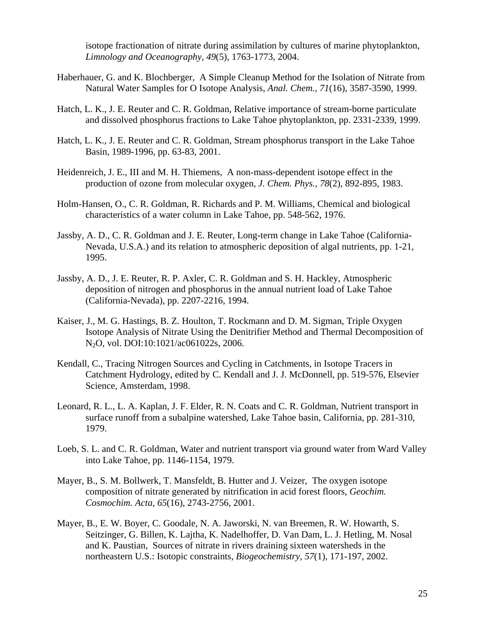isotope fractionation of nitrate during assimilation by cultures of marine phytoplankton, *Limnology and Oceanography, 49*(5), 1763-1773, 2004.

- Haberhauer, G. and K. Blochberger, A Simple Cleanup Method for the Isolation of Nitrate from Natural Water Samples for O Isotope Analysis, *Anal. Chem., 71*(16), 3587-3590, 1999.
- Hatch, L. K., J. E. Reuter and C. R. Goldman, Relative importance of stream-borne particulate and dissolved phosphorus fractions to Lake Tahoe phytoplankton, pp. 2331-2339, 1999.
- Hatch, L. K., J. E. Reuter and C. R. Goldman, Stream phosphorus transport in the Lake Tahoe Basin, 1989-1996, pp. 63-83, 2001.
- Heidenreich, J. E., III and M. H. Thiemens, A non-mass-dependent isotope effect in the production of ozone from molecular oxygen, *J. Chem. Phys., 78*(2), 892-895, 1983.
- Holm-Hansen, O., C. R. Goldman, R. Richards and P. M. Williams, Chemical and biological characteristics of a water column in Lake Tahoe, pp. 548-562, 1976.
- Jassby, A. D., C. R. Goldman and J. E. Reuter, Long-term change in Lake Tahoe (California-Nevada, U.S.A.) and its relation to atmospheric deposition of algal nutrients, pp. 1-21, 1995.
- Jassby, A. D., J. E. Reuter, R. P. Axler, C. R. Goldman and S. H. Hackley, Atmospheric deposition of nitrogen and phosphorus in the annual nutrient load of Lake Tahoe (California-Nevada), pp. 2207-2216, 1994.
- Kaiser, J., M. G. Hastings, B. Z. Houlton, T. Rockmann and D. M. Sigman, Triple Oxygen Isotope Analysis of Nitrate Using the Denitrifier Method and Thermal Decomposition of N2O, vol. DOI:10:1021/ac061022s, 2006.
- Kendall, C., Tracing Nitrogen Sources and Cycling in Catchments, in Isotope Tracers in Catchment Hydrology, edited by C. Kendall and J. J. McDonnell, pp. 519-576, Elsevier Science, Amsterdam, 1998.
- Leonard, R. L., L. A. Kaplan, J. F. Elder, R. N. Coats and C. R. Goldman, Nutrient transport in surface runoff from a subalpine watershed, Lake Tahoe basin, California, pp. 281-310, 1979.
- Loeb, S. L. and C. R. Goldman, Water and nutrient transport via ground water from Ward Valley into Lake Tahoe, pp. 1146-1154, 1979.
- Mayer, B., S. M. Bollwerk, T. Mansfeldt, B. Hutter and J. Veizer, The oxygen isotope composition of nitrate generated by nitrification in acid forest floors, *Geochim. Cosmochim. Acta, 65*(16), 2743-2756, 2001.
- Mayer, B., E. W. Boyer, C. Goodale, N. A. Jaworski, N. van Breemen, R. W. Howarth, S. Seitzinger, G. Billen, K. Lajtha, K. Nadelhoffer, D. Van Dam, L. J. Hetling, M. Nosal and K. Paustian, Sources of nitrate in rivers draining sixteen watersheds in the northeastern U.S.: Isotopic constraints, *Biogeochemistry, 57*(1), 171-197, 2002.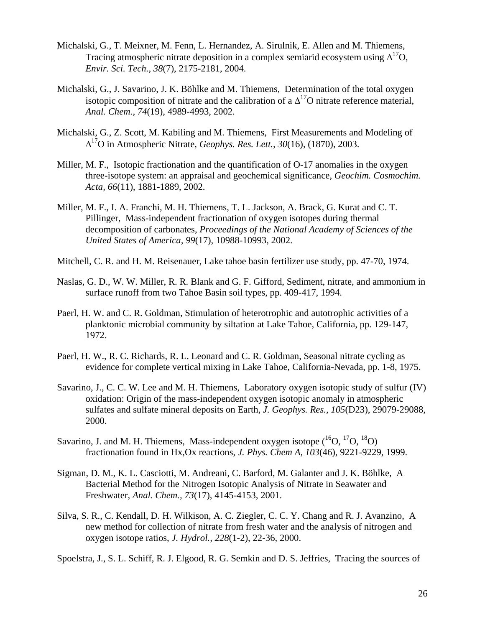- Michalski, G., T. Meixner, M. Fenn, L. Hernandez, A. Sirulnik, E. Allen and M. Thiemens, Tracing atmospheric nitrate deposition in a complex semiarid ecosystem using  $\Delta^{17}O$ , *Envir. Sci. Tech., 38*(7), 2175-2181, 2004.
- Michalski, G., J. Savarino, J. K. Böhlke and M. Thiemens, Determination of the total oxygen isotopic composition of nitrate and the calibration of a  $\Delta^{17}$ O nitrate reference material, *Anal. Chem., 74*(19), 4989-4993, 2002.
- Michalski, G., Z. Scott, M. Kabiling and M. Thiemens, First Measurements and Modeling of Δ17O in Atmospheric Nitrate, *Geophys. Res. Lett., 30*(16), (1870), 2003.
- Miller, M. F., Isotopic fractionation and the quantification of O-17 anomalies in the oxygen three-isotope system: an appraisal and geochemical significance, *Geochim. Cosmochim. Acta, 66*(11), 1881-1889, 2002.
- Miller, M. F., I. A. Franchi, M. H. Thiemens, T. L. Jackson, A. Brack, G. Kurat and C. T. Pillinger, Mass-independent fractionation of oxygen isotopes during thermal decomposition of carbonates, *Proceedings of the National Academy of Sciences of the United States of America, 99*(17), 10988-10993, 2002.
- Mitchell, C. R. and H. M. Reisenauer, Lake tahoe basin fertilizer use study, pp. 47-70, 1974.
- Naslas, G. D., W. W. Miller, R. R. Blank and G. F. Gifford, Sediment, nitrate, and ammonium in surface runoff from two Tahoe Basin soil types, pp. 409-417, 1994.
- Paerl, H. W. and C. R. Goldman, Stimulation of heterotrophic and autotrophic activities of a planktonic microbial community by siltation at Lake Tahoe, California, pp. 129-147, 1972.
- Paerl, H. W., R. C. Richards, R. L. Leonard and C. R. Goldman, Seasonal nitrate cycling as evidence for complete vertical mixing in Lake Tahoe, California-Nevada, pp. 1-8, 1975.
- Savarino, J., C. C. W. Lee and M. H. Thiemens, Laboratory oxygen isotopic study of sulfur (IV) oxidation: Origin of the mass-independent oxygen isotopic anomaly in atmospheric sulfates and sulfate mineral deposits on Earth, *J. Geophys. Res., 105*(D23), 29079-29088, 2000.
- Savarino, J. and M. H. Thiemens, Mass-independent oxygen isotope  $(^{16}O, ^{17}O, ^{18}O)$ fractionation found in Hx,Ox reactions, *J. Phys. Chem A, 103*(46), 9221-9229, 1999.
- Sigman, D. M., K. L. Casciotti, M. Andreani, C. Barford, M. Galanter and J. K. Böhlke, A Bacterial Method for the Nitrogen Isotopic Analysis of Nitrate in Seawater and Freshwater, *Anal. Chem., 73*(17), 4145-4153, 2001.
- Silva, S. R., C. Kendall, D. H. Wilkison, A. C. Ziegler, C. C. Y. Chang and R. J. Avanzino, A new method for collection of nitrate from fresh water and the analysis of nitrogen and oxygen isotope ratios, *J. Hydrol., 228*(1-2), 22-36, 2000.

Spoelstra, J., S. L. Schiff, R. J. Elgood, R. G. Semkin and D. S. Jeffries, Tracing the sources of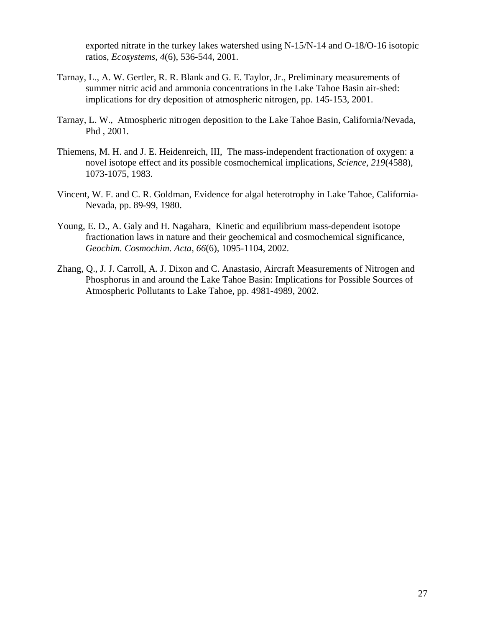exported nitrate in the turkey lakes watershed using N-15/N-14 and O-18/O-16 isotopic ratios, *Ecosystems, 4*(6), 536-544, 2001.

- Tarnay, L., A. W. Gertler, R. R. Blank and G. E. Taylor, Jr., Preliminary measurements of summer nitric acid and ammonia concentrations in the Lake Tahoe Basin air-shed: implications for dry deposition of atmospheric nitrogen, pp. 145-153, 2001.
- Tarnay, L. W., Atmospheric nitrogen deposition to the Lake Tahoe Basin, California/Nevada, Phd , 2001.
- Thiemens, M. H. and J. E. Heidenreich, III, The mass-independent fractionation of oxygen: a novel isotope effect and its possible cosmochemical implications, *Science, 219*(4588), 1073-1075, 1983.
- Vincent, W. F. and C. R. Goldman, Evidence for algal heterotrophy in Lake Tahoe, California-Nevada, pp. 89-99, 1980.
- Young, E. D., A. Galy and H. Nagahara, Kinetic and equilibrium mass-dependent isotope fractionation laws in nature and their geochemical and cosmochemical significance, *Geochim. Cosmochim. Acta, 66*(6), 1095-1104, 2002.
- Zhang, Q., J. J. Carroll, A. J. Dixon and C. Anastasio, Aircraft Measurements of Nitrogen and Phosphorus in and around the Lake Tahoe Basin: Implications for Possible Sources of Atmospheric Pollutants to Lake Tahoe, pp. 4981-4989, 2002.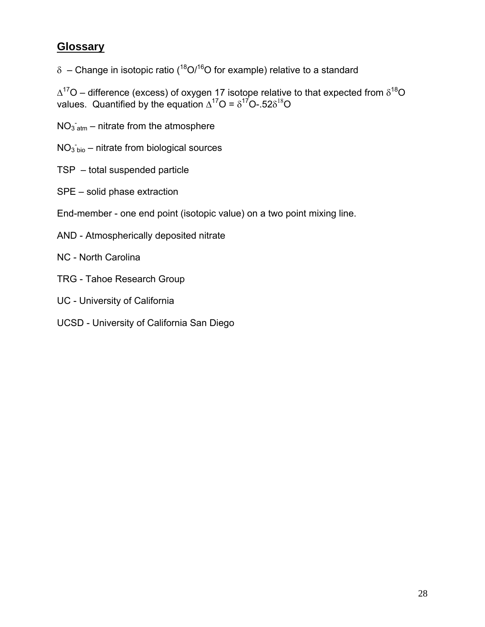# **Glossary**

δ – Change in isotopic ratio ( $18$ O/ $16$ O for example) relative to a standard

 $\Delta^{17}$ O – difference (excess) of oxygen 17 isotope relative to that expected from  $\delta^{18}$ O values. Quantified by the equation  $\Delta^{17}O = \delta^{17}O - 52\delta^{18}O$ 

- $NO<sub>3</sub>$ <sub>atm</sub> nitrate from the atmosphere
- $NO<sub>3</sub>$ <sub>bio</sub> nitrate from biological sources
- TSP total suspended particle
- SPE solid phase extraction
- End-member one end point (isotopic value) on a two point mixing line.
- AND Atmospherically deposited nitrate
- NC North Carolina
- TRG Tahoe Research Group
- UC University of California
- UCSD University of California San Diego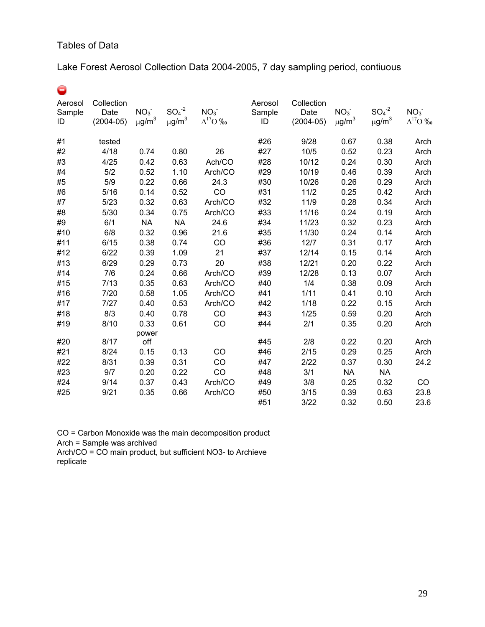# Tables of Data

# Lake Forest Aerosol Collection Data 2004-2005, 7 day sampling period, contiuous

Θ

| Aerosol<br>Sample<br>ID | Collection<br>Date<br>$(2004 - 05)$ | NO <sub>3</sub><br>$\mu$ g/m <sup>3</sup> | $SO4-2$<br>$\mu$ g/m $^3$ | NO <sub>3</sub><br>$\Delta^{17}O$ ‰ | Aerosol<br>Sample<br>ID | Collection<br>Date<br>$(2004 - 05)$ | NO <sub>3</sub><br>$\mu$ g/m <sup>3</sup> | $SO4-2$<br>$\mu$ g/m <sup>3</sup> | NO <sub>3</sub><br>$\Delta^{17}O$ ‰ |
|-------------------------|-------------------------------------|-------------------------------------------|---------------------------|-------------------------------------|-------------------------|-------------------------------------|-------------------------------------------|-----------------------------------|-------------------------------------|
| #1                      | tested                              |                                           |                           |                                     | #26                     | 9/28                                | 0.67                                      | 0.38                              | Arch                                |
| #2                      | 4/18                                | 0.74                                      | 0.80                      | 26                                  | #27                     | 10/5                                | 0.52                                      | 0.23                              | Arch                                |
| #3                      | 4/25                                | 0.42                                      | 0.63                      | Ach/CO                              | #28                     | 10/12                               | 0.24                                      | 0.30                              | Arch                                |
| #4                      | 5/2                                 | 0.52                                      | 1.10                      | Arch/CO                             | #29                     | 10/19                               | 0.46                                      | 0.39                              | Arch                                |
| #5                      | 5/9                                 | 0.22                                      | 0.66                      | 24.3                                | #30                     | 10/26                               | 0.26                                      | 0.29                              | Arch                                |
| #6                      | 5/16                                | 0.14                                      | 0.52                      | CO                                  | #31                     | 11/2                                | 0.25                                      | 0.42                              | Arch                                |
| #7                      | 5/23                                | 0.32                                      | 0.63                      | Arch/CO                             | #32                     | 11/9                                | 0.28                                      | 0.34                              | Arch                                |
| #8                      | 5/30                                | 0.34                                      | 0.75                      | Arch/CO                             | #33                     | 11/16                               | 0.24                                      | 0.19                              | Arch                                |
| #9                      | 6/1                                 | <b>NA</b>                                 | <b>NA</b>                 | 24.6                                | #34                     | 11/23                               | 0.32                                      | 0.23                              | Arch                                |
| #10                     | 6/8                                 | 0.32                                      | 0.96                      | 21.6                                | #35                     | 11/30                               | 0.24                                      | 0.14                              | Arch                                |
| #11                     | 6/15                                | 0.38                                      | 0.74                      | CO                                  | #36                     | 12/7                                | 0.31                                      | 0.17                              | Arch                                |
| #12                     | 6/22                                | 0.39                                      | 1.09                      | 21                                  | #37                     | 12/14                               | 0.15                                      | 0.14                              | Arch                                |
| #13                     | 6/29                                | 0.29                                      | 0.73                      | 20                                  | #38                     | 12/21                               | 0.20                                      | 0.22                              | Arch                                |
| #14                     | 7/6                                 | 0.24                                      | 0.66                      | Arch/CO                             | #39                     | 12/28                               | 0.13                                      | 0.07                              | Arch                                |
| #15                     | 7/13                                | 0.35                                      | 0.63                      | Arch/CO                             | #40                     | 1/4                                 | 0.38                                      | 0.09                              | Arch                                |
| #16                     | 7/20                                | 0.58                                      | 1.05                      | Arch/CO                             | #41                     | 1/11                                | 0.41                                      | 0.10                              | Arch                                |
| #17                     | 7/27                                | 0.40                                      | 0.53                      | Arch/CO                             | #42                     | 1/18                                | 0.22                                      | 0.15                              | Arch                                |
| #18                     | 8/3                                 | 0.40                                      | 0.78                      | CO                                  | #43                     | 1/25                                | 0.59                                      | 0.20                              | Arch                                |
| #19                     | 8/10                                | 0.33                                      | 0.61                      | CO                                  | #44                     | 2/1                                 | 0.35                                      | 0.20                              | Arch                                |
|                         |                                     | power                                     |                           |                                     |                         |                                     |                                           |                                   |                                     |
| #20                     | 8/17                                | off                                       |                           |                                     | #45                     | 2/8                                 | 0.22                                      | 0.20                              | Arch                                |
| #21                     | 8/24                                | 0.15                                      | 0.13                      | CO                                  | #46                     | 2/15                                | 0.29                                      | 0.25                              | Arch                                |
| #22                     | 8/31                                | 0.39                                      | 0.31                      | CO                                  | #47                     | 2/22                                | 0.37                                      | 0.30                              | 24.2                                |
| #23                     | 9/7                                 | 0.20                                      | 0.22                      | CO                                  | #48                     | 3/1                                 | <b>NA</b>                                 | <b>NA</b>                         |                                     |
| #24                     | 9/14                                | 0.37                                      | 0.43                      | Arch/CO                             | #49                     | 3/8                                 | 0.25                                      | 0.32                              | CO                                  |
| #25                     | 9/21                                | 0.35                                      | 0.66                      | Arch/CO                             | #50                     | 3/15                                | 0.39                                      | 0.63                              | 23.8                                |
|                         |                                     |                                           |                           |                                     | #51                     | 3/22                                | 0.32                                      | 0.50                              | 23.6                                |

CO = Carbon Monoxide was the main decomposition product Arch = Sample was archived Arch/CO = CO main product, but sufficient NO3- to Archieve replicate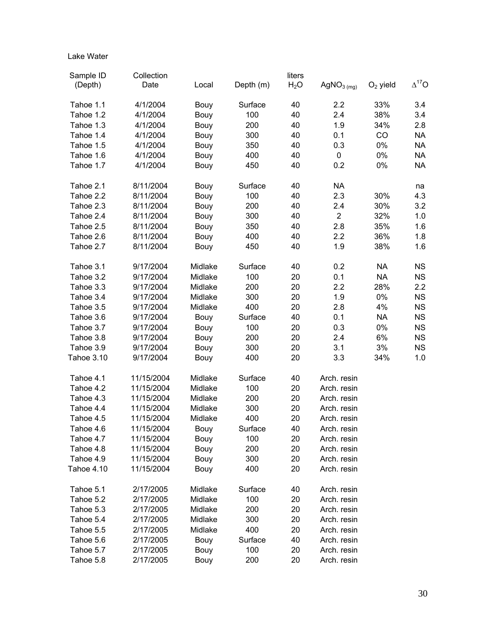#### Lake Water

| Sample ID  | Collection |         |           | liters           |                        |            |                |
|------------|------------|---------|-----------|------------------|------------------------|------------|----------------|
| (Depth)    | Date       | Local   | Depth (m) | H <sub>2</sub> O | AgNO <sub>3 (mg)</sub> | $O2$ yield | $\Delta^{17}O$ |
|            |            |         |           |                  |                        |            |                |
| Tahoe 1.1  | 4/1/2004   | Bouy    | Surface   | 40               | 2.2                    | 33%        | 3.4            |
| Tahoe 1.2  | 4/1/2004   | Bouy    | 100       | 40               | 2.4                    | 38%        | 3.4            |
| Tahoe 1.3  | 4/1/2004   | Bouy    | 200       | 40               | 1.9                    | 34%        | 2.8            |
| Tahoe 1.4  | 4/1/2004   | Bouy    | 300       | 40               | 0.1                    | CO         | <b>NA</b>      |
| Tahoe 1.5  | 4/1/2004   | Bouy    | 350       | 40               | 0.3                    | 0%         | <b>NA</b>      |
| Tahoe 1.6  | 4/1/2004   | Bouy    | 400       | 40               | $\pmb{0}$              | 0%         | <b>NA</b>      |
| Tahoe 1.7  | 4/1/2004   | Bouy    | 450       | 40               | 0.2                    | $0\%$      | <b>NA</b>      |
| Tahoe 2.1  | 8/11/2004  | Bouy    | Surface   | 40               | <b>NA</b>              |            | na             |
| Tahoe 2.2  | 8/11/2004  | Bouy    | 100       | 40               | 2.3                    | 30%        | 4.3            |
| Tahoe 2.3  | 8/11/2004  | Bouy    | 200       | 40               | 2.4                    | 30%        | 3.2            |
| Tahoe 2.4  | 8/11/2004  | Bouy    | 300       | 40               | $\overline{2}$         | 32%        | 1.0            |
| Tahoe 2.5  | 8/11/2004  | Bouy    | 350       | 40               | 2.8                    | 35%        | 1.6            |
| Tahoe 2.6  | 8/11/2004  | Bouy    | 400       | 40               | 2.2                    | 36%        | 1.8            |
| Tahoe 2.7  | 8/11/2004  | Bouy    | 450       | 40               | 1.9                    | 38%        | 1.6            |
|            |            |         |           |                  |                        |            |                |
| Tahoe 3.1  | 9/17/2004  | Midlake | Surface   | 40               | 0.2                    | <b>NA</b>  | <b>NS</b>      |
| Tahoe 3.2  | 9/17/2004  | Midlake | 100       | 20               | 0.1                    | <b>NA</b>  | <b>NS</b>      |
| Tahoe 3.3  | 9/17/2004  | Midlake | 200       | 20               | 2.2                    | 28%        | 2.2            |
| Tahoe 3.4  | 9/17/2004  | Midlake | 300       | 20               | 1.9                    | 0%         | <b>NS</b>      |
| Tahoe 3.5  | 9/17/2004  | Midlake | 400       | 20               | 2.8                    | 4%         | <b>NS</b>      |
| Tahoe 3.6  | 9/17/2004  | Bouy    | Surface   | 40               | 0.1                    | <b>NA</b>  | <b>NS</b>      |
| Tahoe 3.7  | 9/17/2004  | Bouy    | 100       | 20               | 0.3                    | 0%         | <b>NS</b>      |
| Tahoe 3.8  | 9/17/2004  | Bouy    | 200       | 20               | 2.4                    | 6%         | <b>NS</b>      |
| Tahoe 3.9  | 9/17/2004  | Bouy    | 300       | 20               | 3.1                    | 3%         | <b>NS</b>      |
| Tahoe 3.10 | 9/17/2004  | Bouy    | 400       | 20               | 3.3                    | 34%        | 1.0            |
| Tahoe 4.1  | 11/15/2004 | Midlake | Surface   | 40               | Arch. resin            |            |                |
| Tahoe 4.2  | 11/15/2004 | Midlake | 100       | 20               | Arch. resin            |            |                |
| Tahoe 4.3  | 11/15/2004 | Midlake | 200       | 20               | Arch. resin            |            |                |
| Tahoe 4.4  | 11/15/2004 | Midlake | 300       | 20               | Arch. resin            |            |                |
| Tahoe 4.5  | 11/15/2004 | Midlake | 400       | 20               | Arch. resin            |            |                |
| Tahoe 4.6  | 11/15/2004 | Bouy    | Surface   | 40               | Arch. resin            |            |                |
| Tahoe 4.7  | 11/15/2004 | Bouy    | 100       | 20               | Arch. resin            |            |                |
| Tahoe 4.8  | 11/15/2004 | Bouy    | 200       | 20               | Arch. resin            |            |                |
| Tahoe 4.9  | 11/15/2004 | Bouy    | 300       | 20               | Arch. resin            |            |                |
| Tahoe 4.10 | 11/15/2004 | Bouy    | 400       | 20               | Arch. resin            |            |                |
|            |            |         |           |                  |                        |            |                |
| Tahoe 5.1  | 2/17/2005  | Midlake | Surface   | 40               | Arch. resin            |            |                |
| Tahoe 5.2  | 2/17/2005  | Midlake | 100       | 20               | Arch. resin            |            |                |
| Tahoe 5.3  | 2/17/2005  | Midlake | 200       | 20               | Arch. resin            |            |                |
| Tahoe 5.4  | 2/17/2005  | Midlake | 300       | 20               | Arch. resin            |            |                |
| Tahoe 5.5  | 2/17/2005  | Midlake | 400       | 20               | Arch. resin            |            |                |
| Tahoe 5.6  | 2/17/2005  | Bouy    | Surface   | 40               | Arch. resin            |            |                |
| Tahoe 5.7  | 2/17/2005  | Bouy    | 100       | 20               | Arch. resin            |            |                |
| Tahoe 5.8  | 2/17/2005  | Bouy    | 200       | 20               | Arch. resin            |            |                |